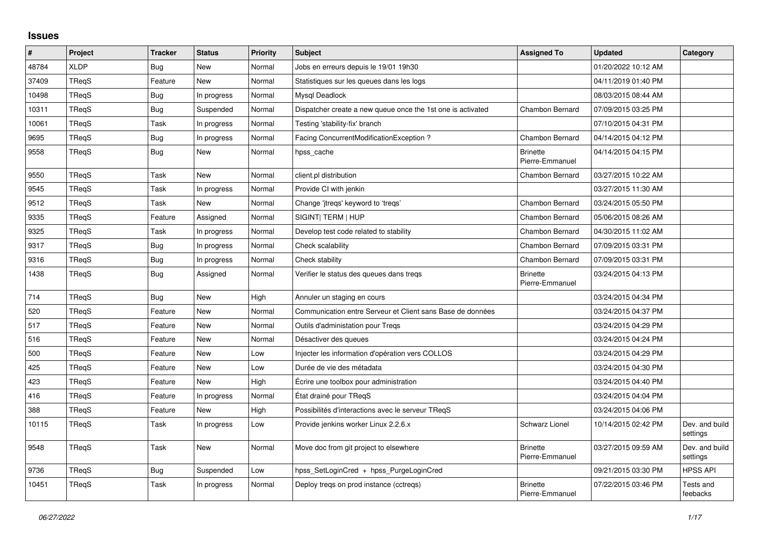## **Issues**

| $\vert$ # | Project      | <b>Tracker</b> | <b>Status</b> | <b>Priority</b> | <b>Subject</b>                                              | <b>Assigned To</b>                 | <b>Updated</b>      | Category                   |
|-----------|--------------|----------------|---------------|-----------------|-------------------------------------------------------------|------------------------------------|---------------------|----------------------------|
| 48784     | <b>XLDP</b>  | <b>Bug</b>     | <b>New</b>    | Normal          | Jobs en erreurs depuis le 19/01 19h30                       |                                    | 01/20/2022 10:12 AM |                            |
| 37409     | TReqS        | Feature        | New           | Normal          | Statistiques sur les queues dans les logs                   |                                    | 04/11/2019 01:40 PM |                            |
| 10498     | TRegS        | <b>Bug</b>     | In progress   | Normal          | Mysql Deadlock                                              |                                    | 08/03/2015 08:44 AM |                            |
| 10311     | TReqS        | <b>Bug</b>     | Suspended     | Normal          | Dispatcher create a new queue once the 1st one is activated | <b>Chambon Bernard</b>             | 07/09/2015 03:25 PM |                            |
| 10061     | TReqS        | Task           | In progress   | Normal          | Testing 'stability-fix' branch                              |                                    | 07/10/2015 04:31 PM |                            |
| 9695      | <b>TRegS</b> | <b>Bug</b>     | In progress   | Normal          | Facing ConcurrentModificationException ?                    | <b>Chambon Bernard</b>             | 04/14/2015 04:12 PM |                            |
| 9558      | TReqS        | <b>Bug</b>     | New           | Normal          | hpss cache                                                  | <b>Brinette</b><br>Pierre-Emmanuel | 04/14/2015 04:15 PM |                            |
| 9550      | <b>TRegS</b> | Task           | <b>New</b>    | Normal          | client.pl distribution                                      | Chambon Bernard                    | 03/27/2015 10:22 AM |                            |
| 9545      | <b>TRegS</b> | Task           | In progress   | Normal          | Provide CI with jenkin                                      |                                    | 03/27/2015 11:30 AM |                            |
| 9512      | TReqS        | Task           | New           | Normal          | Change 'jtregs' keyword to 'tregs'                          | <b>Chambon Bernard</b>             | 03/24/2015 05:50 PM |                            |
| 9335      | <b>TRegS</b> | Feature        | Assigned      | Normal          | SIGINT  TERM   HUP                                          | Chambon Bernard                    | 05/06/2015 08:26 AM |                            |
| 9325      | TReqS        | Task           | In progress   | Normal          | Develop test code related to stability                      | Chambon Bernard                    | 04/30/2015 11:02 AM |                            |
| 9317      | TReqS        | <b>Bug</b>     | In progress   | Normal          | Check scalability                                           | Chambon Bernard                    | 07/09/2015 03:31 PM |                            |
| 9316      | <b>TRegS</b> | <b>Bug</b>     | In progress   | Normal          | Check stability                                             | Chambon Bernard                    | 07/09/2015 03:31 PM |                            |
| 1438      | TReqS        | <b>Bug</b>     | Assigned      | Normal          | Verifier le status des queues dans tregs                    | <b>Brinette</b><br>Pierre-Emmanuel | 03/24/2015 04:13 PM |                            |
| 714       | TReqS        | <b>Bug</b>     | <b>New</b>    | High            | Annuler un staging en cours                                 |                                    | 03/24/2015 04:34 PM |                            |
| 520       | <b>TRegS</b> | Feature        | New           | Normal          | Communication entre Serveur et Client sans Base de données  |                                    | 03/24/2015 04:37 PM |                            |
| 517       | TReqS        | Feature        | <b>New</b>    | Normal          | Outils d'administation pour Tregs                           |                                    | 03/24/2015 04:29 PM |                            |
| 516       | TReqS        | Feature        | <b>New</b>    | Normal          | Désactiver des queues                                       |                                    | 03/24/2015 04:24 PM |                            |
| 500       | TReqS        | Feature        | New           | Low             | Injecter les information d'opération vers COLLOS            |                                    | 03/24/2015 04:29 PM |                            |
| 425       | <b>TRegS</b> | Feature        | <b>New</b>    | Low             | Durée de vie des métadata                                   |                                    | 03/24/2015 04:30 PM |                            |
| 423       | <b>TRegS</b> | Feature        | <b>New</b>    | High            | Écrire une toolbox pour administration                      |                                    | 03/24/2015 04:40 PM |                            |
| 416       | TReqS        | Feature        | In progress   | Normal          | État drainé pour TRegS                                      |                                    | 03/24/2015 04:04 PM |                            |
| 388       | TReqS        | Feature        | <b>New</b>    | High            | Possibilités d'interactions avec le serveur TRegS           |                                    | 03/24/2015 04:06 PM |                            |
| 10115     | TReqS        | Task           | In progress   | Low             | Provide jenkins worker Linux 2.2.6.x                        | Schwarz Lionel                     | 10/14/2015 02:42 PM | Dev. and build<br>settings |
| 9548      | TReqS        | Task           | <b>New</b>    | Normal          | Move doc from git project to elsewhere                      | <b>Brinette</b><br>Pierre-Emmanuel | 03/27/2015 09:59 AM | Dev. and build<br>settings |
| 9736      | TReqS        | <b>Bug</b>     | Suspended     | Low             | hpss SetLoginCred + hpss PurgeLoginCred                     |                                    | 09/21/2015 03:30 PM | <b>HPSS API</b>            |
| 10451     | TRegS        | Task           | In progress   | Normal          | Deploy tregs on prod instance (cctregs)                     | <b>Brinette</b><br>Pierre-Emmanuel | 07/22/2015 03:46 PM | Tests and<br>feebacks      |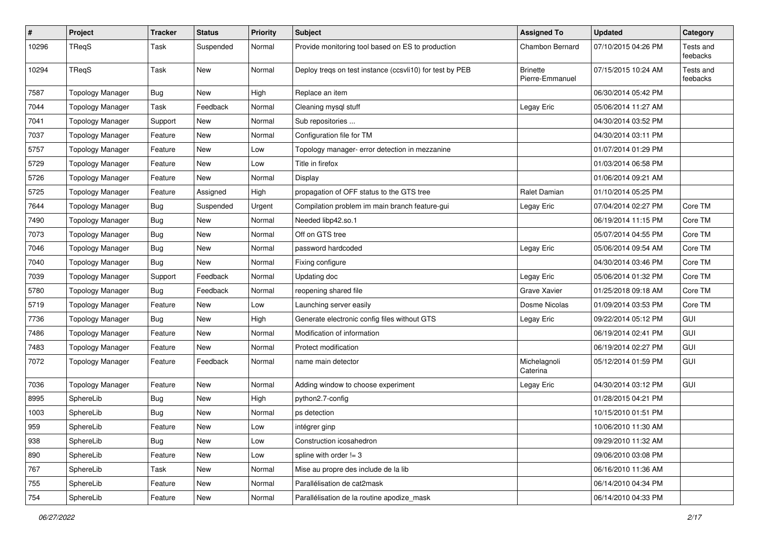| $\pmb{\#}$ | Project                 | <b>Tracker</b> | <b>Status</b> | <b>Priority</b> | <b>Subject</b>                                           | <b>Assigned To</b>                 | <b>Updated</b>      | Category              |
|------------|-------------------------|----------------|---------------|-----------------|----------------------------------------------------------|------------------------------------|---------------------|-----------------------|
| 10296      | TReqS                   | Task           | Suspended     | Normal          | Provide monitoring tool based on ES to production        | Chambon Bernard                    | 07/10/2015 04:26 PM | Tests and<br>feebacks |
| 10294      | TReqS                   | Task           | New           | Normal          | Deploy treqs on test instance (ccsvli10) for test by PEB | <b>Brinette</b><br>Pierre-Emmanuel | 07/15/2015 10:24 AM | Tests and<br>feebacks |
| 7587       | <b>Topology Manager</b> | Bug            | New           | High            | Replace an item                                          |                                    | 06/30/2014 05:42 PM |                       |
| 7044       | <b>Topology Manager</b> | Task           | Feedback      | Normal          | Cleaning mysql stuff                                     | Legay Eric                         | 05/06/2014 11:27 AM |                       |
| 7041       | <b>Topology Manager</b> | Support        | <b>New</b>    | Normal          | Sub repositories                                         |                                    | 04/30/2014 03:52 PM |                       |
| 7037       | <b>Topology Manager</b> | Feature        | New           | Normal          | Configuration file for TM                                |                                    | 04/30/2014 03:11 PM |                       |
| 5757       | <b>Topology Manager</b> | Feature        | <b>New</b>    | Low             | Topology manager- error detection in mezzanine           |                                    | 01/07/2014 01:29 PM |                       |
| 5729       | <b>Topology Manager</b> | Feature        | <b>New</b>    | Low             | Title in firefox                                         |                                    | 01/03/2014 06:58 PM |                       |
| 5726       | <b>Topology Manager</b> | Feature        | New           | Normal          | Display                                                  |                                    | 01/06/2014 09:21 AM |                       |
| 5725       | <b>Topology Manager</b> | Feature        | Assigned      | High            | propagation of OFF status to the GTS tree                | Ralet Damian                       | 01/10/2014 05:25 PM |                       |
| 7644       | <b>Topology Manager</b> | <b>Bug</b>     | Suspended     | Urgent          | Compilation problem im main branch feature-gui           | Legay Eric                         | 07/04/2014 02:27 PM | Core TM               |
| 7490       | <b>Topology Manager</b> | <b>Bug</b>     | New           | Normal          | Needed libp42.so.1                                       |                                    | 06/19/2014 11:15 PM | Core TM               |
| 7073       | <b>Topology Manager</b> | <b>Bug</b>     | <b>New</b>    | Normal          | Off on GTS tree                                          |                                    | 05/07/2014 04:55 PM | Core TM               |
| 7046       | <b>Topology Manager</b> | Bug            | New           | Normal          | password hardcoded                                       | Legay Eric                         | 05/06/2014 09:54 AM | Core TM               |
| 7040       | <b>Topology Manager</b> | <b>Bug</b>     | New           | Normal          | Fixing configure                                         |                                    | 04/30/2014 03:46 PM | Core TM               |
| 7039       | <b>Topology Manager</b> | Support        | Feedback      | Normal          | Updating doc                                             | Legay Eric                         | 05/06/2014 01:32 PM | Core TM               |
| 5780       | <b>Topology Manager</b> | Bug            | Feedback      | Normal          | reopening shared file                                    | Grave Xavier                       | 01/25/2018 09:18 AM | Core TM               |
| 5719       | <b>Topology Manager</b> | Feature        | <b>New</b>    | Low             | Launching server easily                                  | Dosme Nicolas                      | 01/09/2014 03:53 PM | Core TM               |
| 7736       | <b>Topology Manager</b> | Bug            | New           | High            | Generate electronic config files without GTS             | Legay Eric                         | 09/22/2014 05:12 PM | GUI                   |
| 7486       | <b>Topology Manager</b> | Feature        | New           | Normal          | Modification of information                              |                                    | 06/19/2014 02:41 PM | GUI                   |
| 7483       | <b>Topology Manager</b> | Feature        | <b>New</b>    | Normal          | Protect modification                                     |                                    | 06/19/2014 02:27 PM | GUI                   |
| 7072       | <b>Topology Manager</b> | Feature        | Feedback      | Normal          | name main detector                                       | Michelagnoli<br>Caterina           | 05/12/2014 01:59 PM | GUI                   |
| 7036       | <b>Topology Manager</b> | Feature        | New           | Normal          | Adding window to choose experiment                       | Legay Eric                         | 04/30/2014 03:12 PM | GUI                   |
| 8995       | SphereLib               | Bug            | New           | High            | python2.7-config                                         |                                    | 01/28/2015 04:21 PM |                       |
| 1003       | SphereLib               | Bug            | New           | Normal          | ps detection                                             |                                    | 10/15/2010 01:51 PM |                       |
| 959        | SphereLib               | Feature        | <b>New</b>    | Low             | intégrer ginp                                            |                                    | 10/06/2010 11:30 AM |                       |
| 938        | SphereLib               | Bug            | New           | Low             | Construction icosahedron                                 |                                    | 09/29/2010 11:32 AM |                       |
| 890        | SphereLib               | Feature        | New           | Low             | spline with order $!= 3$                                 |                                    | 09/06/2010 03:08 PM |                       |
| 767        | SphereLib               | Task           | New           | Normal          | Mise au propre des include de la lib                     |                                    | 06/16/2010 11:36 AM |                       |
| 755        | SphereLib               | Feature        | New           | Normal          | Parallélisation de cat2mask                              |                                    | 06/14/2010 04:34 PM |                       |
| 754        | SphereLib               | Feature        | New           | Normal          | Parallélisation de la routine apodize_mask               |                                    | 06/14/2010 04:33 PM |                       |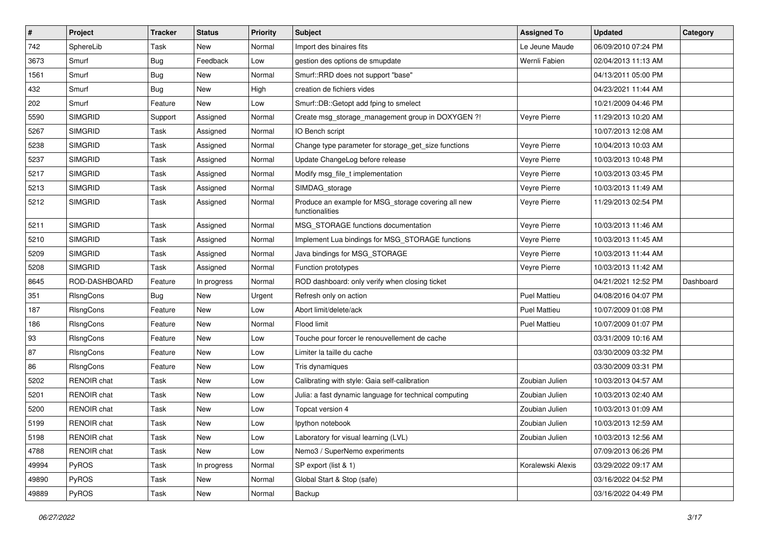| $\sharp$ | Project            | <b>Tracker</b> | <b>Status</b> | <b>Priority</b> | Subject                                                                | <b>Assigned To</b>  | <b>Updated</b>      | Category  |
|----------|--------------------|----------------|---------------|-----------------|------------------------------------------------------------------------|---------------------|---------------------|-----------|
| 742      | SphereLib          | Task           | New           | Normal          | Import des binaires fits                                               | Le Jeune Maude      | 06/09/2010 07:24 PM |           |
| 3673     | Smurf              | <b>Bug</b>     | Feedback      | Low             | gestion des options de smupdate                                        | Wernli Fabien       | 02/04/2013 11:13 AM |           |
| 1561     | Smurf              | <b>Bug</b>     | New           | Normal          | Smurf::RRD does not support "base"                                     |                     | 04/13/2011 05:00 PM |           |
| 432      | Smurf              | Bug            | New           | High            | creation de fichiers vides                                             |                     | 04/23/2021 11:44 AM |           |
| 202      | Smurf              | Feature        | New           | Low             | Smurf::DB::Getopt add fping to smelect                                 |                     | 10/21/2009 04:46 PM |           |
| 5590     | <b>SIMGRID</b>     | Support        | Assigned      | Normal          | Create msg_storage_management group in DOXYGEN ?!                      | Veyre Pierre        | 11/29/2013 10:20 AM |           |
| 5267     | <b>SIMGRID</b>     | Task           | Assigned      | Normal          | IO Bench script                                                        |                     | 10/07/2013 12:08 AM |           |
| 5238     | <b>SIMGRID</b>     | Task           | Assigned      | Normal          | Change type parameter for storage_get_size functions                   | Veyre Pierre        | 10/04/2013 10:03 AM |           |
| 5237     | <b>SIMGRID</b>     | Task           | Assigned      | Normal          | Update ChangeLog before release                                        | Veyre Pierre        | 10/03/2013 10:48 PM |           |
| 5217     | <b>SIMGRID</b>     | Task           | Assigned      | Normal          | Modify msg_file_t implementation                                       | Veyre Pierre        | 10/03/2013 03:45 PM |           |
| 5213     | <b>SIMGRID</b>     | Task           | Assigned      | Normal          | SIMDAG_storage                                                         | Veyre Pierre        | 10/03/2013 11:49 AM |           |
| 5212     | <b>SIMGRID</b>     | Task           | Assigned      | Normal          | Produce an example for MSG_storage covering all new<br>functionalities | Veyre Pierre        | 11/29/2013 02:54 PM |           |
| 5211     | <b>SIMGRID</b>     | Task           | Assigned      | Normal          | MSG_STORAGE functions documentation                                    | Veyre Pierre        | 10/03/2013 11:46 AM |           |
| 5210     | <b>SIMGRID</b>     | Task           | Assigned      | Normal          | Implement Lua bindings for MSG_STORAGE functions                       | Veyre Pierre        | 10/03/2013 11:45 AM |           |
| 5209     | <b>SIMGRID</b>     | Task           | Assigned      | Normal          | Java bindings for MSG_STORAGE                                          | Veyre Pierre        | 10/03/2013 11:44 AM |           |
| 5208     | <b>SIMGRID</b>     | Task           | Assigned      | Normal          | Function prototypes                                                    | Veyre Pierre        | 10/03/2013 11:42 AM |           |
| 8645     | ROD-DASHBOARD      | Feature        | In progress   | Normal          | ROD dashboard: only verify when closing ticket                         |                     | 04/21/2021 12:52 PM | Dashboard |
| 351      | RIsngCons          | <b>Bug</b>     | New           | Urgent          | Refresh only on action                                                 | <b>Puel Mattieu</b> | 04/08/2016 04:07 PM |           |
| 187      | RIsngCons          | Feature        | New           | Low             | Abort limit/delete/ack                                                 | <b>Puel Mattieu</b> | 10/07/2009 01:08 PM |           |
| 186      | RIsngCons          | Feature        | New           | Normal          | Flood limit                                                            | <b>Puel Mattieu</b> | 10/07/2009 01:07 PM |           |
| 93       | RIsngCons          | Feature        | <b>New</b>    | Low             | Touche pour forcer le renouvellement de cache                          |                     | 03/31/2009 10:16 AM |           |
| 87       | RIsngCons          | Feature        | New           | Low             | Limiter la taille du cache                                             |                     | 03/30/2009 03:32 PM |           |
| 86       | RIsngCons          | Feature        | New           | Low             | Tris dynamiques                                                        |                     | 03/30/2009 03:31 PM |           |
| 5202     | <b>RENOIR chat</b> | Task           | New           | Low             | Calibrating with style: Gaia self-calibration                          | Zoubian Julien      | 10/03/2013 04:57 AM |           |
| 5201     | <b>RENOIR</b> chat | Task           | <b>New</b>    | Low             | Julia: a fast dynamic language for technical computing                 | Zoubian Julien      | 10/03/2013 02:40 AM |           |
| 5200     | RENOIR chat        | Task           | <b>New</b>    | Low             | Topcat version 4                                                       | Zoubian Julien      | 10/03/2013 01:09 AM |           |
| 5199     | RENOIR chat        | Task           | New           | Low             | Ipython notebook                                                       | Zoubian Julien      | 10/03/2013 12:59 AM |           |
| 5198     | RENOIR chat        | Task           | New           | Low             | Laboratory for visual learning (LVL)                                   | Zoubian Julien      | 10/03/2013 12:56 AM |           |
| 4788     | RENOIR chat        | Task           | New           | Low             | Nemo3 / SuperNemo experiments                                          |                     | 07/09/2013 06:26 PM |           |
| 49994    | PyROS              | Task           | In progress   | Normal          | SP export (list & 1)                                                   | Koralewski Alexis   | 03/29/2022 09:17 AM |           |
| 49890    | PyROS              | Task           | New           | Normal          | Global Start & Stop (safe)                                             |                     | 03/16/2022 04:52 PM |           |
| 49889    | PyROS              | Task           | New           | Normal          | Backup                                                                 |                     | 03/16/2022 04:49 PM |           |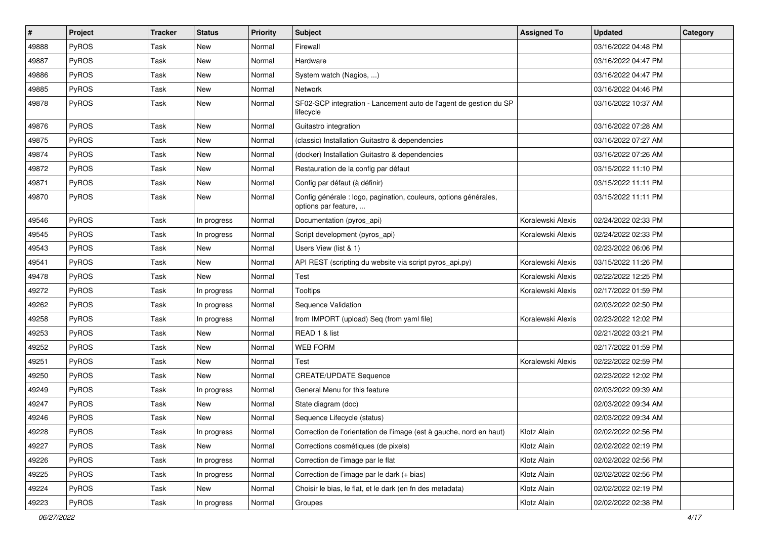| $\sharp$ | Project      | <b>Tracker</b> | <b>Status</b> | <b>Priority</b> | <b>Subject</b>                                                                           | <b>Assigned To</b> | <b>Updated</b>      | Category |
|----------|--------------|----------------|---------------|-----------------|------------------------------------------------------------------------------------------|--------------------|---------------------|----------|
| 49888    | <b>PyROS</b> | Task           | New           | Normal          | Firewall                                                                                 |                    | 03/16/2022 04:48 PM |          |
| 49887    | PyROS        | Task           | New           | Normal          | Hardware                                                                                 |                    | 03/16/2022 04:47 PM |          |
| 49886    | PyROS        | Task           | New           | Normal          | System watch (Nagios, )                                                                  |                    | 03/16/2022 04:47 PM |          |
| 49885    | PyROS        | Task           | New           | Normal          | Network                                                                                  |                    | 03/16/2022 04:46 PM |          |
| 49878    | PyROS        | Task           | New           | Normal          | SF02-SCP integration - Lancement auto de l'agent de gestion du SP<br>lifecycle           |                    | 03/16/2022 10:37 AM |          |
| 49876    | PyROS        | Task           | <b>New</b>    | Normal          | Guitastro integration                                                                    |                    | 03/16/2022 07:28 AM |          |
| 49875    | PyROS        | Task           | New           | Normal          | (classic) Installation Guitastro & dependencies                                          |                    | 03/16/2022 07:27 AM |          |
| 49874    | PyROS        | Task           | New           | Normal          | (docker) Installation Guitastro & dependencies                                           |                    | 03/16/2022 07:26 AM |          |
| 49872    | PyROS        | Task           | New           | Normal          | Restauration de la config par défaut                                                     |                    | 03/15/2022 11:10 PM |          |
| 49871    | <b>PyROS</b> | Task           | New           | Normal          | Config par défaut (à définir)                                                            |                    | 03/15/2022 11:11 PM |          |
| 49870    | PyROS        | Task           | New           | Normal          | Config générale : logo, pagination, couleurs, options générales,<br>options par feature, |                    | 03/15/2022 11:11 PM |          |
| 49546    | <b>PyROS</b> | Task           | In progress   | Normal          | Documentation (pyros_api)                                                                | Koralewski Alexis  | 02/24/2022 02:33 PM |          |
| 49545    | PyROS        | Task           | In progress   | Normal          | Script development (pyros_api)                                                           | Koralewski Alexis  | 02/24/2022 02:33 PM |          |
| 49543    | PyROS        | Task           | New           | Normal          | Users View (list & 1)                                                                    |                    | 02/23/2022 06:06 PM |          |
| 49541    | PyROS        | Task           | New           | Normal          | API REST (scripting du website via script pyros_api.py)                                  | Koralewski Alexis  | 03/15/2022 11:26 PM |          |
| 49478    | PyROS        | Task           | New           | Normal          | Test                                                                                     | Koralewski Alexis  | 02/22/2022 12:25 PM |          |
| 49272    | <b>PyROS</b> | Task           | In progress   | Normal          | Tooltips                                                                                 | Koralewski Alexis  | 02/17/2022 01:59 PM |          |
| 49262    | PyROS        | Task           | In progress   | Normal          | Sequence Validation                                                                      |                    | 02/03/2022 02:50 PM |          |
| 49258    | PyROS        | Task           | In progress   | Normal          | from IMPORT (upload) Seq (from yaml file)                                                | Koralewski Alexis  | 02/23/2022 12:02 PM |          |
| 49253    | PyROS        | Task           | New           | Normal          | READ 1 & list                                                                            |                    | 02/21/2022 03:21 PM |          |
| 49252    | PyROS        | Task           | New           | Normal          | <b>WEB FORM</b>                                                                          |                    | 02/17/2022 01:59 PM |          |
| 49251    | <b>PyROS</b> | Task           | New           | Normal          | Test                                                                                     | Koralewski Alexis  | 02/22/2022 02:59 PM |          |
| 49250    | PyROS        | Task           | New           | Normal          | <b>CREATE/UPDATE Sequence</b>                                                            |                    | 02/23/2022 12:02 PM |          |
| 49249    | PyROS        | Task           | In progress   | Normal          | General Menu for this feature                                                            |                    | 02/03/2022 09:39 AM |          |
| 49247    | PyROS        | Task           | New           | Normal          | State diagram (doc)                                                                      |                    | 02/03/2022 09:34 AM |          |
| 49246    | PyROS        | Task           | New           | Normal          | Sequence Lifecycle (status)                                                              |                    | 02/03/2022 09:34 AM |          |
| 49228    | PyROS        | Task           | In progress   | Normal          | Correction de l'orientation de l'image (est à gauche, nord en haut)                      | Klotz Alain        | 02/02/2022 02:56 PM |          |
| 49227    | PyROS        | Task           | New           | Normal          | Corrections cosmétiques (de pixels)                                                      | Klotz Alain        | 02/02/2022 02:19 PM |          |
| 49226    | PyROS        | Task           | In progress   | Normal          | Correction de l'image par le flat                                                        | Klotz Alain        | 02/02/2022 02:56 PM |          |
| 49225    | PyROS        | Task           | In progress   | Normal          | Correction de l'image par le dark (+ bias)                                               | Klotz Alain        | 02/02/2022 02:56 PM |          |
| 49224    | PyROS        | Task           | New           | Normal          | Choisir le bias, le flat, et le dark (en fn des metadata)                                | Klotz Alain        | 02/02/2022 02:19 PM |          |
| 49223    | PyROS        | Task           | In progress   | Normal          | Groupes                                                                                  | Klotz Alain        | 02/02/2022 02:38 PM |          |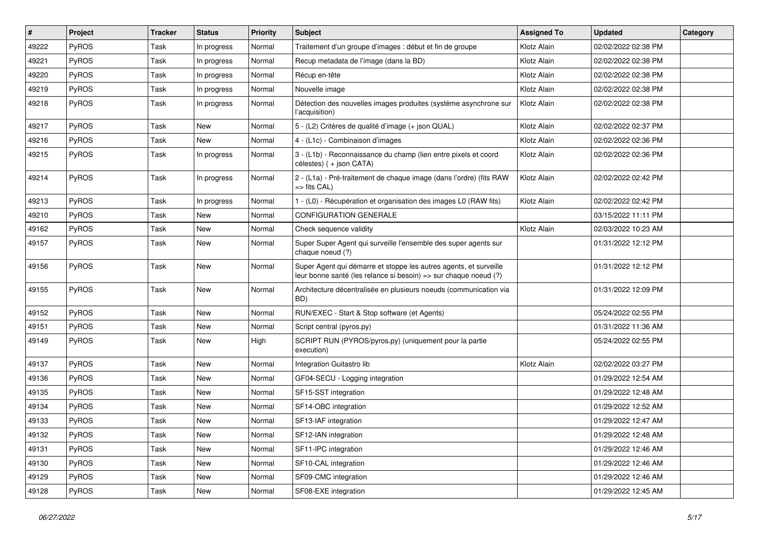| $\vert$ # | Project      | <b>Tracker</b> | <b>Status</b> | <b>Priority</b> | <b>Subject</b>                                                                                                                        | <b>Assigned To</b> | <b>Updated</b>      | Category |
|-----------|--------------|----------------|---------------|-----------------|---------------------------------------------------------------------------------------------------------------------------------------|--------------------|---------------------|----------|
| 49222     | <b>PyROS</b> | Task           | In progress   | Normal          | Traitement d'un groupe d'images : début et fin de groupe                                                                              | Klotz Alain        | 02/02/2022 02:38 PM |          |
| 49221     | PyROS        | Task           | In progress   | Normal          | Recup metadata de l'image (dans la BD)                                                                                                | Klotz Alain        | 02/02/2022 02:38 PM |          |
| 49220     | PyROS        | Task           | In progress   | Normal          | Récup en-tête                                                                                                                         | Klotz Alain        | 02/02/2022 02:38 PM |          |
| 49219     | PyROS        | Task           | In progress   | Normal          | Nouvelle image                                                                                                                        | Klotz Alain        | 02/02/2022 02:38 PM |          |
| 49218     | PyROS        | Task           | In progress   | Normal          | Détection des nouvelles images produites (système asynchrone sur<br>l'acquisition)                                                    | Klotz Alain        | 02/02/2022 02:38 PM |          |
| 49217     | PyROS        | Task           | New           | Normal          | 5 - (L2) Critères de qualité d'image (+ json QUAL)                                                                                    | Klotz Alain        | 02/02/2022 02:37 PM |          |
| 49216     | PyROS        | Task           | New           | Normal          | 4 - (L1c) - Combinaison d'images                                                                                                      | Klotz Alain        | 02/02/2022 02:36 PM |          |
| 49215     | PyROS        | Task           | In progress   | Normal          | 3 - (L1b) - Reconnaissance du champ (lien entre pixels et coord<br>célestes) (+ json CATA)                                            | Klotz Alain        | 02/02/2022 02:36 PM |          |
| 49214     | PyROS        | Task           | In progress   | Normal          | 2 - (L1a) - Pré-traitement de chaque image (dans l'ordre) (fits RAW<br>$\Rightarrow$ fits CAL)                                        | Klotz Alain        | 02/02/2022 02:42 PM |          |
| 49213     | PyROS        | Task           | In progress   | Normal          | 1 - (L0) - Récupération et organisation des images L0 (RAW fits)                                                                      | Klotz Alain        | 02/02/2022 02:42 PM |          |
| 49210     | PyROS        | Task           | New           | Normal          | <b>CONFIGURATION GENERALE</b>                                                                                                         |                    | 03/15/2022 11:11 PM |          |
| 49162     | PyROS        | Task           | New           | Normal          | Check sequence validity                                                                                                               | Klotz Alain        | 02/03/2022 10:23 AM |          |
| 49157     | PyROS        | Task           | New           | Normal          | Super Super Agent qui surveille l'ensemble des super agents sur<br>chaque noeud (?)                                                   |                    | 01/31/2022 12:12 PM |          |
| 49156     | PyROS        | Task           | New           | Normal          | Super Agent qui démarre et stoppe les autres agents, et surveille<br>leur bonne santé (les relance si besoin) => sur chaque noeud (?) |                    | 01/31/2022 12:12 PM |          |
| 49155     | PyROS        | Task           | New           | Normal          | Architecture décentralisée en plusieurs noeuds (communication via<br>BD)                                                              |                    | 01/31/2022 12:09 PM |          |
| 49152     | PyROS        | Task           | New           | Normal          | RUN/EXEC - Start & Stop software (et Agents)                                                                                          |                    | 05/24/2022 02:55 PM |          |
| 49151     | PyROS        | Task           | New           | Normal          | Script central (pyros.py)                                                                                                             |                    | 01/31/2022 11:36 AM |          |
| 49149     | PyROS        | Task           | New           | High            | SCRIPT RUN (PYROS/pyros.py) (uniquement pour la partie<br>execution)                                                                  |                    | 05/24/2022 02:55 PM |          |
| 49137     | PyROS        | Task           | New           | Normal          | Integration Guitastro lib                                                                                                             | Klotz Alain        | 02/02/2022 03:27 PM |          |
| 49136     | PyROS        | Task           | New           | Normal          | GF04-SECU - Logging integration                                                                                                       |                    | 01/29/2022 12:54 AM |          |
| 49135     | <b>PyROS</b> | Task           | New           | Normal          | SF15-SST integration                                                                                                                  |                    | 01/29/2022 12:48 AM |          |
| 49134     | PyROS        | Task           | <b>New</b>    | Normal          | SF14-OBC integration                                                                                                                  |                    | 01/29/2022 12:52 AM |          |
| 49133     | PyROS        | Task           | New           | Normal          | SF13-IAF integration                                                                                                                  |                    | 01/29/2022 12:47 AM |          |
| 49132     | PyROS        | Task           | New           | Normal          | SF12-IAN integration                                                                                                                  |                    | 01/29/2022 12:48 AM |          |
| 49131     | PyROS        | Task           | New           | Normal          | SF11-IPC integration                                                                                                                  |                    | 01/29/2022 12:46 AM |          |
| 49130     | PyROS        | Task           | New           | Normal          | SF10-CAL integration                                                                                                                  |                    | 01/29/2022 12:46 AM |          |
| 49129     | PyROS        | Task           | New           | Normal          | SF09-CMC integration                                                                                                                  |                    | 01/29/2022 12:46 AM |          |
| 49128     | PyROS        | Task           | New           | Normal          | SF08-EXE integration                                                                                                                  |                    | 01/29/2022 12:45 AM |          |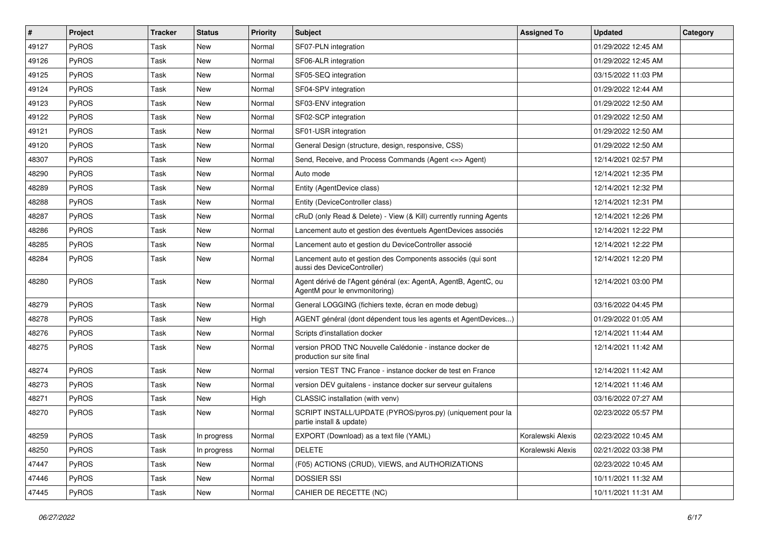| $\vert$ # | Project      | <b>Tracker</b> | <b>Status</b> | <b>Priority</b> | <b>Subject</b>                                                                                   | <b>Assigned To</b> | <b>Updated</b>      | Category |
|-----------|--------------|----------------|---------------|-----------------|--------------------------------------------------------------------------------------------------|--------------------|---------------------|----------|
| 49127     | PyROS        | Task           | <b>New</b>    | Normal          | SF07-PLN integration                                                                             |                    | 01/29/2022 12:45 AM |          |
| 49126     | PyROS        | Task           | New           | Normal          | SF06-ALR integration                                                                             |                    | 01/29/2022 12:45 AM |          |
| 49125     | PyROS        | Task           | New           | Normal          | SF05-SEQ integration                                                                             |                    | 03/15/2022 11:03 PM |          |
| 49124     | PyROS        | Task           | New           | Normal          | SF04-SPV integration                                                                             |                    | 01/29/2022 12:44 AM |          |
| 49123     | PyROS        | Task           | <b>New</b>    | Normal          | SF03-ENV integration                                                                             |                    | 01/29/2022 12:50 AM |          |
| 49122     | <b>PyROS</b> | Task           | New           | Normal          | SF02-SCP integration                                                                             |                    | 01/29/2022 12:50 AM |          |
| 49121     | PyROS        | Task           | <b>New</b>    | Normal          | SF01-USR integration                                                                             |                    | 01/29/2022 12:50 AM |          |
| 49120     | PyROS        | Task           | New           | Normal          | General Design (structure, design, responsive, CSS)                                              |                    | 01/29/2022 12:50 AM |          |
| 48307     | PyROS        | Task           | New           | Normal          | Send, Receive, and Process Commands (Agent <= > Agent)                                           |                    | 12/14/2021 02:57 PM |          |
| 48290     | PyROS        | Task           | New           | Normal          | Auto mode                                                                                        |                    | 12/14/2021 12:35 PM |          |
| 48289     | <b>PyROS</b> | Task           | New           | Normal          | Entity (AgentDevice class)                                                                       |                    | 12/14/2021 12:32 PM |          |
| 48288     | PyROS        | Task           | New           | Normal          | Entity (DeviceController class)                                                                  |                    | 12/14/2021 12:31 PM |          |
| 48287     | PyROS        | Task           | New           | Normal          | cRuD (only Read & Delete) - View (& Kill) currently running Agents                               |                    | 12/14/2021 12:26 PM |          |
| 48286     | PyROS        | Task           | <b>New</b>    | Normal          | Lancement auto et gestion des éventuels AgentDevices associés                                    |                    | 12/14/2021 12:22 PM |          |
| 48285     | PyROS        | Task           | New           | Normal          | Lancement auto et gestion du DeviceController associé                                            |                    | 12/14/2021 12:22 PM |          |
| 48284     | PyROS        | Task           | New           | Normal          | Lancement auto et gestion des Components associés (qui sont<br>aussi des DeviceController)       |                    | 12/14/2021 12:20 PM |          |
| 48280     | PyROS        | Task           | New           | Normal          | Agent dérivé de l'Agent général (ex: AgentA, AgentB, AgentC, ou<br>AgentM pour le envmonitoring) |                    | 12/14/2021 03:00 PM |          |
| 48279     | PyROS        | Task           | <b>New</b>    | Normal          | General LOGGING (fichiers texte, écran en mode debug)                                            |                    | 03/16/2022 04:45 PM |          |
| 48278     | PyROS        | Task           | New           | High            | AGENT général (dont dépendent tous les agents et AgentDevices)                                   |                    | 01/29/2022 01:05 AM |          |
| 48276     | PyROS        | Task           | New           | Normal          | Scripts d'installation docker                                                                    |                    | 12/14/2021 11:44 AM |          |
| 48275     | PyROS        | Task           | New           | Normal          | version PROD TNC Nouvelle Calédonie - instance docker de<br>production sur site final            |                    | 12/14/2021 11:42 AM |          |
| 48274     | PyROS        | Task           | New           | Normal          | version TEST TNC France - instance docker de test en France                                      |                    | 12/14/2021 11:42 AM |          |
| 48273     | PyROS        | Task           | New           | Normal          | version DEV guitalens - instance docker sur serveur guitalens                                    |                    | 12/14/2021 11:46 AM |          |
| 48271     | PyROS        | Task           | New           | High            | CLASSIC installation (with venv)                                                                 |                    | 03/16/2022 07:27 AM |          |
| 48270     | PyROS        | Task           | <b>New</b>    | Normal          | SCRIPT INSTALL/UPDATE (PYROS/pyros.py) (uniquement pour la<br>partie install & update)           |                    | 02/23/2022 05:57 PM |          |
| 48259     | PyROS        | Task           | In progress   | Normal          | EXPORT (Download) as a text file (YAML)                                                          | Koralewski Alexis  | 02/23/2022 10:45 AM |          |
| 48250     | PyROS        | Task           | In progress   | Normal          | <b>DELETE</b>                                                                                    | Koralewski Alexis  | 02/21/2022 03:38 PM |          |
| 47447     | PyROS        | Task           | New           | Normal          | (F05) ACTIONS (CRUD), VIEWS, and AUTHORIZATIONS                                                  |                    | 02/23/2022 10:45 AM |          |
| 47446     | PyROS        | Task           | New           | Normal          | <b>DOSSIER SSI</b>                                                                               |                    | 10/11/2021 11:32 AM |          |
| 47445     | PyROS        | Task           | New           | Normal          | CAHIER DE RECETTE (NC)                                                                           |                    | 10/11/2021 11:31 AM |          |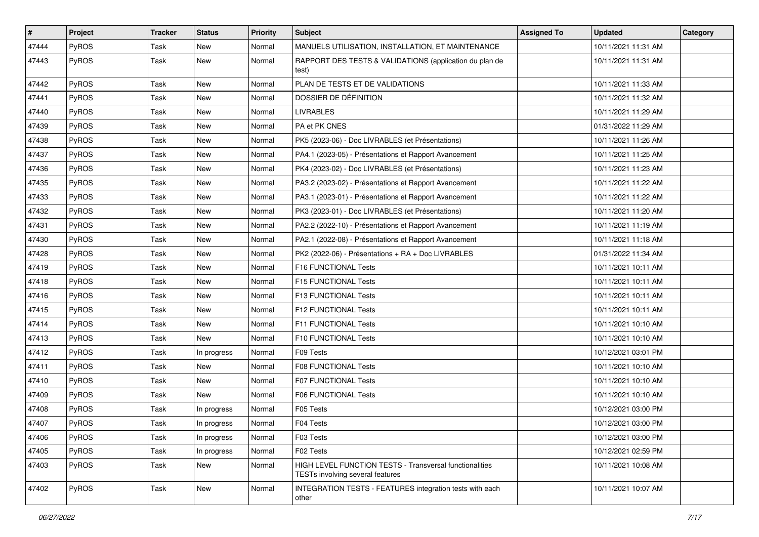| $\vert$ # | Project      | <b>Tracker</b> | <b>Status</b> | <b>Priority</b> | <b>Subject</b>                                                                                     | <b>Assigned To</b> | <b>Updated</b>      | Category |
|-----------|--------------|----------------|---------------|-----------------|----------------------------------------------------------------------------------------------------|--------------------|---------------------|----------|
| 47444     | PyROS        | Task           | New           | Normal          | MANUELS UTILISATION, INSTALLATION, ET MAINTENANCE                                                  |                    | 10/11/2021 11:31 AM |          |
| 47443     | PyROS        | Task           | New           | Normal          | RAPPORT DES TESTS & VALIDATIONS (application du plan de<br>test)                                   |                    | 10/11/2021 11:31 AM |          |
| 47442     | PyROS        | Task           | New           | Normal          | PLAN DE TESTS ET DE VALIDATIONS                                                                    |                    | 10/11/2021 11:33 AM |          |
| 47441     | PyROS        | Task           | New           | Normal          | DOSSIER DE DÉFINITION                                                                              |                    | 10/11/2021 11:32 AM |          |
| 47440     | PyROS        | Task           | New           | Normal          | <b>LIVRABLES</b>                                                                                   |                    | 10/11/2021 11:29 AM |          |
| 47439     | PyROS        | Task           | <b>New</b>    | Normal          | PA et PK CNES                                                                                      |                    | 01/31/2022 11:29 AM |          |
| 47438     | PyROS        | Task           | New           | Normal          | PK5 (2023-06) - Doc LIVRABLES (et Présentations)                                                   |                    | 10/11/2021 11:26 AM |          |
| 47437     | PyROS        | Task           | New           | Normal          | PA4.1 (2023-05) - Présentations et Rapport Avancement                                              |                    | 10/11/2021 11:25 AM |          |
| 47436     | PyROS        | Task           | New           | Normal          | PK4 (2023-02) - Doc LIVRABLES (et Présentations)                                                   |                    | 10/11/2021 11:23 AM |          |
| 47435     | PyROS        | Task           | New           | Normal          | PA3.2 (2023-02) - Présentations et Rapport Avancement                                              |                    | 10/11/2021 11:22 AM |          |
| 47433     | PyROS        | Task           | New           | Normal          | PA3.1 (2023-01) - Présentations et Rapport Avancement                                              |                    | 10/11/2021 11:22 AM |          |
| 47432     | PyROS        | Task           | New           | Normal          | PK3 (2023-01) - Doc LIVRABLES (et Présentations)                                                   |                    | 10/11/2021 11:20 AM |          |
| 47431     | PyROS        | Task           | New           | Normal          | PA2.2 (2022-10) - Présentations et Rapport Avancement                                              |                    | 10/11/2021 11:19 AM |          |
| 47430     | PyROS        | Task           | New           | Normal          | PA2.1 (2022-08) - Présentations et Rapport Avancement                                              |                    | 10/11/2021 11:18 AM |          |
| 47428     | PyROS        | Task           | New           | Normal          | PK2 (2022-06) - Présentations + RA + Doc LIVRABLES                                                 |                    | 01/31/2022 11:34 AM |          |
| 47419     | PyROS        | Task           | New           | Normal          | F16 FUNCTIONAL Tests                                                                               |                    | 10/11/2021 10:11 AM |          |
| 47418     | PyROS        | Task           | New           | Normal          | F15 FUNCTIONAL Tests                                                                               |                    | 10/11/2021 10:11 AM |          |
| 47416     | <b>PyROS</b> | Task           | New           | Normal          | F13 FUNCTIONAL Tests                                                                               |                    | 10/11/2021 10:11 AM |          |
| 47415     | PyROS        | Task           | New           | Normal          | F12 FUNCTIONAL Tests                                                                               |                    | 10/11/2021 10:11 AM |          |
| 47414     | PyROS        | Task           | New           | Normal          | F11 FUNCTIONAL Tests                                                                               |                    | 10/11/2021 10:10 AM |          |
| 47413     | PyROS        | Task           | New           | Normal          | F10 FUNCTIONAL Tests                                                                               |                    | 10/11/2021 10:10 AM |          |
| 47412     | PyROS        | Task           | In progress   | Normal          | F09 Tests                                                                                          |                    | 10/12/2021 03:01 PM |          |
| 47411     | <b>PyROS</b> | Task           | New           | Normal          | <b>F08 FUNCTIONAL Tests</b>                                                                        |                    | 10/11/2021 10:10 AM |          |
| 47410     | PyROS        | Task           | New           | Normal          | <b>F07 FUNCTIONAL Tests</b>                                                                        |                    | 10/11/2021 10:10 AM |          |
| 47409     | PyROS        | Task           | New           | Normal          | F06 FUNCTIONAL Tests                                                                               |                    | 10/11/2021 10:10 AM |          |
| 47408     | PyROS        | Task           | In progress   | Normal          | F05 Tests                                                                                          |                    | 10/12/2021 03:00 PM |          |
| 47407     | PyROS        | Task           | In progress   | Normal          | F04 Tests                                                                                          |                    | 10/12/2021 03:00 PM |          |
| 47406     | PyROS        | Task           | In progress   | Normal          | F03 Tests                                                                                          |                    | 10/12/2021 03:00 PM |          |
| 47405     | PyROS        | Task           | In progress   | Normal          | F02 Tests                                                                                          |                    | 10/12/2021 02:59 PM |          |
| 47403     | PyROS        | Task           | New           | Normal          | <b>HIGH LEVEL FUNCTION TESTS - Transversal functionalities</b><br>TESTs involving several features |                    | 10/11/2021 10:08 AM |          |
| 47402     | PyROS        | Task           | New           | Normal          | INTEGRATION TESTS - FEATURES integration tests with each<br>other                                  |                    | 10/11/2021 10:07 AM |          |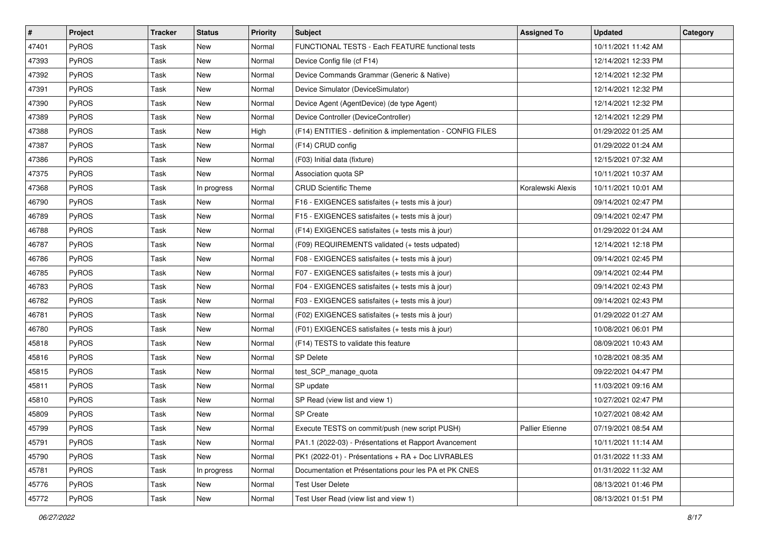| #     | <b>Project</b> | <b>Tracker</b> | <b>Status</b> | <b>Priority</b> | Subject                                                     | <b>Assigned To</b> | <b>Updated</b>      | Category |
|-------|----------------|----------------|---------------|-----------------|-------------------------------------------------------------|--------------------|---------------------|----------|
| 47401 | PyROS          | Task           | New           | Normal          | FUNCTIONAL TESTS - Each FEATURE functional tests            |                    | 10/11/2021 11:42 AM |          |
| 47393 | PyROS          | Task           | <b>New</b>    | Normal          | Device Config file (cf F14)                                 |                    | 12/14/2021 12:33 PM |          |
| 47392 | PyROS          | Task           | <b>New</b>    | Normal          | Device Commands Grammar (Generic & Native)                  |                    | 12/14/2021 12:32 PM |          |
| 47391 | PyROS          | Task           | New           | Normal          | Device Simulator (DeviceSimulator)                          |                    | 12/14/2021 12:32 PM |          |
| 47390 | PyROS          | Task           | <b>New</b>    | Normal          | Device Agent (AgentDevice) (de type Agent)                  |                    | 12/14/2021 12:32 PM |          |
| 47389 | PyROS          | Task           | New           | Normal          | Device Controller (DeviceController)                        |                    | 12/14/2021 12:29 PM |          |
| 47388 | PyROS          | Task           | <b>New</b>    | High            | (F14) ENTITIES - definition & implementation - CONFIG FILES |                    | 01/29/2022 01:25 AM |          |
| 47387 | PyROS          | Task           | New           | Normal          | (F14) CRUD config                                           |                    | 01/29/2022 01:24 AM |          |
| 47386 | PyROS          | Task           | <b>New</b>    | Normal          | (F03) Initial data (fixture)                                |                    | 12/15/2021 07:32 AM |          |
| 47375 | PyROS          | Task           | New           | Normal          | Association quota SP                                        |                    | 10/11/2021 10:37 AM |          |
| 47368 | <b>PyROS</b>   | Task           | In progress   | Normal          | <b>CRUD Scientific Theme</b>                                | Koralewski Alexis  | 10/11/2021 10:01 AM |          |
| 46790 | PyROS          | Task           | <b>New</b>    | Normal          | F16 - EXIGENCES satisfaites (+ tests mis à jour)            |                    | 09/14/2021 02:47 PM |          |
| 46789 | PyROS          | Task           | <b>New</b>    | Normal          | F15 - EXIGENCES satisfaites (+ tests mis à jour)            |                    | 09/14/2021 02:47 PM |          |
| 46788 | PyROS          | Task           | <b>New</b>    | Normal          | (F14) EXIGENCES satisfaites (+ tests mis à jour)            |                    | 01/29/2022 01:24 AM |          |
| 46787 | PyROS          | Task           | <b>New</b>    | Normal          | (F09) REQUIREMENTS validated (+ tests udpated)              |                    | 12/14/2021 12:18 PM |          |
| 46786 | PyROS          | Task           | <b>New</b>    | Normal          | F08 - EXIGENCES satisfaites (+ tests mis à jour)            |                    | 09/14/2021 02:45 PM |          |
| 46785 | PyROS          | Task           | New           | Normal          | F07 - EXIGENCES satisfaites (+ tests mis à jour)            |                    | 09/14/2021 02:44 PM |          |
| 46783 | PyROS          | Task           | <b>New</b>    | Normal          | F04 - EXIGENCES satisfaites (+ tests mis à jour)            |                    | 09/14/2021 02:43 PM |          |
| 46782 | PyROS          | Task           | New           | Normal          | F03 - EXIGENCES satisfaites (+ tests mis à jour)            |                    | 09/14/2021 02:43 PM |          |
| 46781 | PyROS          | Task           | <b>New</b>    | Normal          | (F02) EXIGENCES satisfaites (+ tests mis à jour)            |                    | 01/29/2022 01:27 AM |          |
| 46780 | PyROS          | Task           | New           | Normal          | (F01) EXIGENCES satisfaites (+ tests mis à jour)            |                    | 10/08/2021 06:01 PM |          |
| 45818 | PyROS          | Task           | <b>New</b>    | Normal          | (F14) TESTS to validate this feature                        |                    | 08/09/2021 10:43 AM |          |
| 45816 | PyROS          | Task           | <b>New</b>    | Normal          | <b>SP Delete</b>                                            |                    | 10/28/2021 08:35 AM |          |
| 45815 | PyROS          | Task           | New           | Normal          | test_SCP_manage_quota                                       |                    | 09/22/2021 04:47 PM |          |
| 45811 | PyROS          | Task           | <b>New</b>    | Normal          | SP update                                                   |                    | 11/03/2021 09:16 AM |          |
| 45810 | PyROS          | Task           | New           | Normal          | SP Read (view list and view 1)                              |                    | 10/27/2021 02:47 PM |          |
| 45809 | PyROS          | Task           | New           | Normal          | <b>SP Create</b>                                            |                    | 10/27/2021 08:42 AM |          |
| 45799 | PyROS          | Task           | New           | Normal          | Execute TESTS on commit/push (new script PUSH)              | Pallier Etienne    | 07/19/2021 08:54 AM |          |
| 45791 | <b>PyROS</b>   | Task           | New           | Normal          | PA1.1 (2022-03) - Présentations et Rapport Avancement       |                    | 10/11/2021 11:14 AM |          |
| 45790 | PyROS          | Task           | New           | Normal          | PK1 (2022-01) - Présentations + RA + Doc LIVRABLES          |                    | 01/31/2022 11:33 AM |          |
| 45781 | PyROS          | Task           | In progress   | Normal          | Documentation et Présentations pour les PA et PK CNES       |                    | 01/31/2022 11:32 AM |          |
| 45776 | PyROS          | Task           | New           | Normal          | Test User Delete                                            |                    | 08/13/2021 01:46 PM |          |
| 45772 | PyROS          | Task           | New           | Normal          | Test User Read (view list and view 1)                       |                    | 08/13/2021 01:51 PM |          |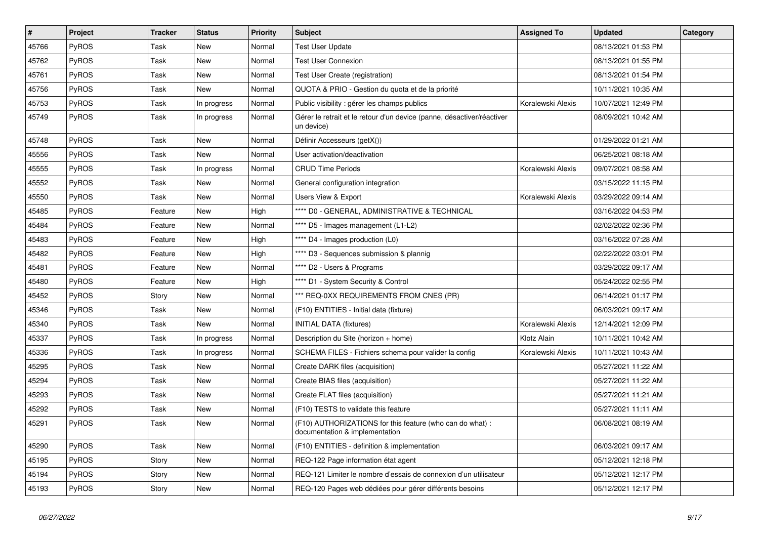| $\vert$ # | <b>Project</b> | <b>Tracker</b> | <b>Status</b> | <b>Priority</b> | <b>Subject</b>                                                                             | <b>Assigned To</b> | <b>Updated</b>      | Category |
|-----------|----------------|----------------|---------------|-----------------|--------------------------------------------------------------------------------------------|--------------------|---------------------|----------|
| 45766     | <b>PyROS</b>   | Task           | New           | Normal          | <b>Test User Update</b>                                                                    |                    | 08/13/2021 01:53 PM |          |
| 45762     | <b>PyROS</b>   | Task           | <b>New</b>    | Normal          | <b>Test User Connexion</b>                                                                 |                    | 08/13/2021 01:55 PM |          |
| 45761     | <b>PyROS</b>   | Task           | <b>New</b>    | Normal          | Test User Create (registration)                                                            |                    | 08/13/2021 01:54 PM |          |
| 45756     | <b>PyROS</b>   | Task           | New           | Normal          | QUOTA & PRIO - Gestion du quota et de la priorité                                          |                    | 10/11/2021 10:35 AM |          |
| 45753     | <b>PyROS</b>   | Task           | In progress   | Normal          | Public visibility : gérer les champs publics                                               | Koralewski Alexis  | 10/07/2021 12:49 PM |          |
| 45749     | <b>PyROS</b>   | Task           | In progress   | Normal          | Gérer le retrait et le retour d'un device (panne, désactiver/réactiver<br>un device)       |                    | 08/09/2021 10:42 AM |          |
| 45748     | <b>PyROS</b>   | Task           | <b>New</b>    | Normal          | Définir Accesseurs (getX())                                                                |                    | 01/29/2022 01:21 AM |          |
| 45556     | <b>PyROS</b>   | Task           | <b>New</b>    | Normal          | User activation/deactivation                                                               |                    | 06/25/2021 08:18 AM |          |
| 45555     | <b>PyROS</b>   | Task           | In progress   | Normal          | <b>CRUD Time Periods</b>                                                                   | Koralewski Alexis  | 09/07/2021 08:58 AM |          |
| 45552     | <b>PyROS</b>   | Task           | <b>New</b>    | Normal          | General configuration integration                                                          |                    | 03/15/2022 11:15 PM |          |
| 45550     | <b>PyROS</b>   | Task           | <b>New</b>    | Normal          | Users View & Export                                                                        | Koralewski Alexis  | 03/29/2022 09:14 AM |          |
| 45485     | <b>PyROS</b>   | Feature        | <b>New</b>    | High            | **** D0 - GENERAL, ADMINISTRATIVE & TECHNICAL                                              |                    | 03/16/2022 04:53 PM |          |
| 45484     | PyROS          | Feature        | <b>New</b>    | Normal          | **** D5 - Images management (L1-L2)                                                        |                    | 02/02/2022 02:36 PM |          |
| 45483     | <b>PyROS</b>   | Feature        | <b>New</b>    | High            | **** D4 - Images production (L0)                                                           |                    | 03/16/2022 07:28 AM |          |
| 45482     | <b>PyROS</b>   | Feature        | <b>New</b>    | High            | **** D3 - Sequences submission & plannig                                                   |                    | 02/22/2022 03:01 PM |          |
| 45481     | <b>PyROS</b>   | Feature        | <b>New</b>    | Normal          | **** D2 - Users & Programs                                                                 |                    | 03/29/2022 09:17 AM |          |
| 45480     | <b>PyROS</b>   | Feature        | <b>New</b>    | High            | **** D1 - System Security & Control                                                        |                    | 05/24/2022 02:55 PM |          |
| 45452     | <b>PyROS</b>   | Story          | New           | Normal          | *** REQ-0XX REQUIREMENTS FROM CNES (PR)                                                    |                    | 06/14/2021 01:17 PM |          |
| 45346     | <b>PyROS</b>   | Task           | <b>New</b>    | Normal          | (F10) ENTITIES - Initial data (fixture)                                                    |                    | 06/03/2021 09:17 AM |          |
| 45340     | <b>PyROS</b>   | Task           | <b>New</b>    | Normal          | <b>INITIAL DATA (fixtures)</b>                                                             | Koralewski Alexis  | 12/14/2021 12:09 PM |          |
| 45337     | <b>PyROS</b>   | Task           | In progress   | Normal          | Description du Site (horizon + home)                                                       | Klotz Alain        | 10/11/2021 10:42 AM |          |
| 45336     | PyROS          | Task           | In progress   | Normal          | SCHEMA FILES - Fichiers schema pour valider la config                                      | Koralewski Alexis  | 10/11/2021 10:43 AM |          |
| 45295     | PyROS          | Task           | New           | Normal          | Create DARK files (acquisition)                                                            |                    | 05/27/2021 11:22 AM |          |
| 45294     | <b>PyROS</b>   | Task           | New           | Normal          | Create BIAS files (acquisition)                                                            |                    | 05/27/2021 11:22 AM |          |
| 45293     | <b>PyROS</b>   | Task           | <b>New</b>    | Normal          | Create FLAT files (acquisition)                                                            |                    | 05/27/2021 11:21 AM |          |
| 45292     | <b>PyROS</b>   | Task           | <b>New</b>    | Normal          | (F10) TESTS to validate this feature                                                       |                    | 05/27/2021 11:11 AM |          |
| 45291     | <b>PyROS</b>   | Task           | <b>New</b>    | Normal          | (F10) AUTHORIZATIONS for this feature (who can do what):<br>documentation & implementation |                    | 06/08/2021 08:19 AM |          |
| 45290     | PyROS          | Task           | <b>New</b>    | Normal          | (F10) ENTITIES - definition & implementation                                               |                    | 06/03/2021 09:17 AM |          |
| 45195     | <b>PyROS</b>   | Story          | <b>New</b>    | Normal          | REQ-122 Page information état agent                                                        |                    | 05/12/2021 12:18 PM |          |
| 45194     | <b>PyROS</b>   | Story          | <b>New</b>    | Normal          | REQ-121 Limiter le nombre d'essais de connexion d'un utilisateur                           |                    | 05/12/2021 12:17 PM |          |
| 45193     | PyROS          | Story          | <b>New</b>    | Normal          | REQ-120 Pages web dédiées pour gérer différents besoins                                    |                    | 05/12/2021 12:17 PM |          |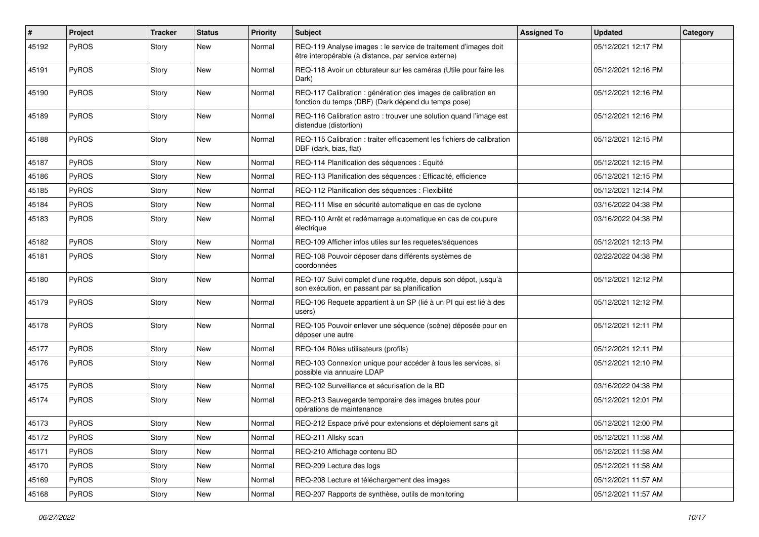| #     | Project      | <b>Tracker</b> | <b>Status</b> | Priority | <b>Subject</b>                                                                                                          | <b>Assigned To</b> | <b>Updated</b>      | Category |
|-------|--------------|----------------|---------------|----------|-------------------------------------------------------------------------------------------------------------------------|--------------------|---------------------|----------|
| 45192 | PyROS        | Story          | New           | Normal   | REQ-119 Analyse images : le service de traitement d'images doit<br>être interopérable (à distance, par service externe) |                    | 05/12/2021 12:17 PM |          |
| 45191 | PyROS        | Story          | <b>New</b>    | Normal   | REQ-118 Avoir un obturateur sur les caméras (Utile pour faire les<br>Dark)                                              |                    | 05/12/2021 12:16 PM |          |
| 45190 | PyROS        | Story          | New           | Normal   | REQ-117 Calibration : génération des images de calibration en<br>fonction du temps (DBF) (Dark dépend du temps pose)    |                    | 05/12/2021 12:16 PM |          |
| 45189 | PyROS        | Story          | New           | Normal   | REQ-116 Calibration astro: trouver une solution quand l'image est<br>distendue (distortion)                             |                    | 05/12/2021 12:16 PM |          |
| 45188 | PyROS        | Story          | <b>New</b>    | Normal   | REQ-115 Calibration : traiter efficacement les fichiers de calibration<br>DBF (dark, bias, flat)                        |                    | 05/12/2021 12:15 PM |          |
| 45187 | PyROS        | Story          | <b>New</b>    | Normal   | REQ-114 Planification des séquences : Equité                                                                            |                    | 05/12/2021 12:15 PM |          |
| 45186 | PyROS        | Story          | <b>New</b>    | Normal   | REQ-113 Planification des séquences : Efficacité, efficience                                                            |                    | 05/12/2021 12:15 PM |          |
| 45185 | PyROS        | Story          | <b>New</b>    | Normal   | REQ-112 Planification des séquences : Flexibilité                                                                       |                    | 05/12/2021 12:14 PM |          |
| 45184 | PyROS        | Story          | New           | Normal   | REQ-111 Mise en sécurité automatique en cas de cyclone                                                                  |                    | 03/16/2022 04:38 PM |          |
| 45183 | PyROS        | Story          | New           | Normal   | REQ-110 Arrêt et redémarrage automatique en cas de coupure<br>électrique                                                |                    | 03/16/2022 04:38 PM |          |
| 45182 | PyROS        | Story          | New           | Normal   | REQ-109 Afficher infos utiles sur les requetes/séquences                                                                |                    | 05/12/2021 12:13 PM |          |
| 45181 | PyROS        | Story          | New           | Normal   | REQ-108 Pouvoir déposer dans différents systèmes de<br>coordonnées                                                      |                    | 02/22/2022 04:38 PM |          |
| 45180 | PyROS        | Story          | <b>New</b>    | Normal   | REQ-107 Suivi complet d'une requête, depuis son dépot, jusqu'à<br>son exécution, en passant par sa planification        |                    | 05/12/2021 12:12 PM |          |
| 45179 | PyROS        | Story          | <b>New</b>    | Normal   | REQ-106 Requete appartient à un SP (lié à un PI qui est lié à des<br>users)                                             |                    | 05/12/2021 12:12 PM |          |
| 45178 | PyROS        | Story          | New           | Normal   | REQ-105 Pouvoir enlever une séquence (scène) déposée pour en<br>déposer une autre                                       |                    | 05/12/2021 12:11 PM |          |
| 45177 | PyROS        | Story          | <b>New</b>    | Normal   | REQ-104 Rôles utilisateurs (profils)                                                                                    |                    | 05/12/2021 12:11 PM |          |
| 45176 | <b>PyROS</b> | Story          | New           | Normal   | REQ-103 Connexion unique pour accéder à tous les services, si<br>possible via annuaire LDAP                             |                    | 05/12/2021 12:10 PM |          |
| 45175 | PyROS        | Story          | New           | Normal   | REQ-102 Surveillance et sécurisation de la BD                                                                           |                    | 03/16/2022 04:38 PM |          |
| 45174 | PyROS        | Story          | New           | Normal   | REQ-213 Sauvegarde temporaire des images brutes pour<br>opérations de maintenance                                       |                    | 05/12/2021 12:01 PM |          |
| 45173 | PyROS        | Story          | <b>New</b>    | Normal   | REQ-212 Espace privé pour extensions et déploiement sans git                                                            |                    | 05/12/2021 12:00 PM |          |
| 45172 | PyROS        | Story          | New           | Normal   | REQ-211 Allsky scan                                                                                                     |                    | 05/12/2021 11:58 AM |          |
| 45171 | PyROS        | Story          | New           | Normal   | REQ-210 Affichage contenu BD                                                                                            |                    | 05/12/2021 11:58 AM |          |
| 45170 | PyROS        | Story          | New           | Normal   | REQ-209 Lecture des logs                                                                                                |                    | 05/12/2021 11:58 AM |          |
| 45169 | <b>PyROS</b> | Story          | New           | Normal   | REQ-208 Lecture et téléchargement des images                                                                            |                    | 05/12/2021 11:57 AM |          |
| 45168 | PyROS        | Story          | New           | Normal   | REQ-207 Rapports de synthèse, outils de monitoring                                                                      |                    | 05/12/2021 11:57 AM |          |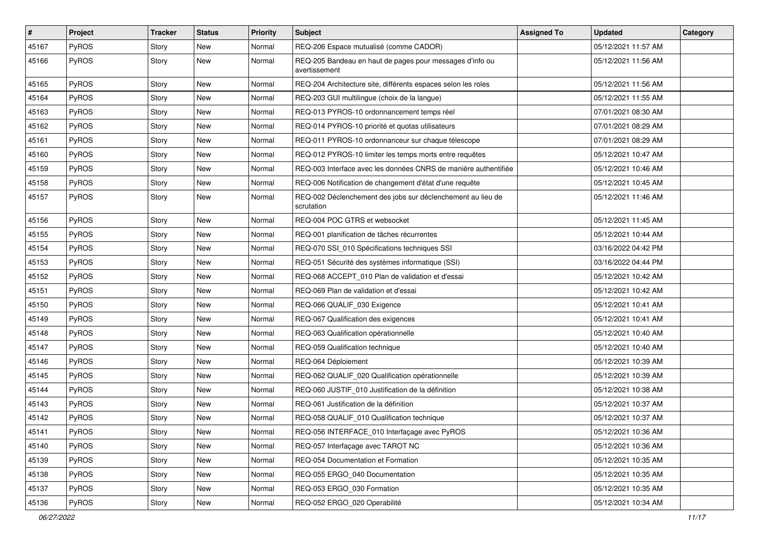| #     | Project      | <b>Tracker</b> | <b>Status</b> | <b>Priority</b> | <b>Subject</b>                                                            | <b>Assigned To</b> | <b>Updated</b>      | Category |
|-------|--------------|----------------|---------------|-----------------|---------------------------------------------------------------------------|--------------------|---------------------|----------|
| 45167 | PyROS        | Story          | New           | Normal          | REQ-206 Espace mutualisé (comme CADOR)                                    |                    | 05/12/2021 11:57 AM |          |
| 45166 | PyROS        | Story          | New           | Normal          | REQ-205 Bandeau en haut de pages pour messages d'info ou<br>avertissement |                    | 05/12/2021 11:56 AM |          |
| 45165 | PyROS        | Story          | <b>New</b>    | Normal          | REQ-204 Architecture site, différents espaces selon les roles             |                    | 05/12/2021 11:56 AM |          |
| 45164 | PyROS        | Story          | <b>New</b>    | Normal          | REQ-203 GUI multilingue (choix de la langue)                              |                    | 05/12/2021 11:55 AM |          |
| 45163 | PyROS        | Story          | New           | Normal          | REQ-013 PYROS-10 ordonnancement temps réel                                |                    | 07/01/2021 08:30 AM |          |
| 45162 | PyROS        | Story          | <b>New</b>    | Normal          | REQ-014 PYROS-10 priorité et quotas utilisateurs                          |                    | 07/01/2021 08:29 AM |          |
| 45161 | PyROS        | Story          | New           | Normal          | REQ-011 PYROS-10 ordonnanceur sur chaque télescope                        |                    | 07/01/2021 08:29 AM |          |
| 45160 | PyROS        | Story          | <b>New</b>    | Normal          | REQ-012 PYROS-10 limiter les temps morts entre requêtes                   |                    | 05/12/2021 10:47 AM |          |
| 45159 | PyROS        | Story          | <b>New</b>    | Normal          | REQ-003 Interface avec les données CNRS de manière authentifiée           |                    | 05/12/2021 10:46 AM |          |
| 45158 | <b>PyROS</b> | Story          | <b>New</b>    | Normal          | REQ-006 Notification de changement d'état d'une requête                   |                    | 05/12/2021 10:45 AM |          |
| 45157 | PyROS        | Story          | New           | Normal          | REQ-002 Déclenchement des jobs sur déclenchement au lieu de<br>scrutation |                    | 05/12/2021 11:46 AM |          |
| 45156 | PyROS        | Story          | New           | Normal          | REQ-004 POC GTRS et websocket                                             |                    | 05/12/2021 11:45 AM |          |
| 45155 | PyROS        | Story          | <b>New</b>    | Normal          | REQ-001 planification de tâches récurrentes                               |                    | 05/12/2021 10:44 AM |          |
| 45154 | PyROS        | Story          | New           | Normal          | REQ-070 SSI_010 Spécifications techniques SSI                             |                    | 03/16/2022 04:42 PM |          |
| 45153 | PyROS        | Story          | New           | Normal          | REQ-051 Sécurité des systèmes informatique (SSI)                          |                    | 03/16/2022 04:44 PM |          |
| 45152 | PyROS        | Story          | <b>New</b>    | Normal          | REQ-068 ACCEPT 010 Plan de validation et d'essai                          |                    | 05/12/2021 10:42 AM |          |
| 45151 | PyROS        | Story          | <b>New</b>    | Normal          | REQ-069 Plan de validation et d'essai                                     |                    | 05/12/2021 10:42 AM |          |
| 45150 | <b>PyROS</b> | Story          | <b>New</b>    | Normal          | REQ-066 QUALIF_030 Exigence                                               |                    | 05/12/2021 10:41 AM |          |
| 45149 | <b>PyROS</b> | Story          | New           | Normal          | REQ-067 Qualification des exigences                                       |                    | 05/12/2021 10:41 AM |          |
| 45148 | PyROS        | Story          | <b>New</b>    | Normal          | REQ-063 Qualification opérationnelle                                      |                    | 05/12/2021 10:40 AM |          |
| 45147 | PyROS        | Story          | <b>New</b>    | Normal          | REQ-059 Qualification technique                                           |                    | 05/12/2021 10:40 AM |          |
| 45146 | PyROS        | Story          | <b>New</b>    | Normal          | REQ-064 Déploiement                                                       |                    | 05/12/2021 10:39 AM |          |
| 45145 | PyROS        | Story          | <b>New</b>    | Normal          | REQ-062 QUALIF_020 Qualification opérationnelle                           |                    | 05/12/2021 10:39 AM |          |
| 45144 | PyROS        | Story          | <b>New</b>    | Normal          | REQ-060 JUSTIF_010 Justification de la définition                         |                    | 05/12/2021 10:38 AM |          |
| 45143 | PyROS        | Story          | New           | Normal          | REQ-061 Justification de la définition                                    |                    | 05/12/2021 10:37 AM |          |
| 45142 | PyROS        | Story          | <b>New</b>    | Normal          | REQ-058 QUALIF_010 Qualification technique                                |                    | 05/12/2021 10:37 AM |          |
| 45141 | PyROS        | Story          | New           | Normal          | REQ-056 INTERFACE_010 Interfaçage avec PyROS                              |                    | 05/12/2021 10:36 AM |          |
| 45140 | PyROS        | Story          | New           | Normal          | REQ-057 Interfaçage avec TAROT NC                                         |                    | 05/12/2021 10:36 AM |          |
| 45139 | PyROS        | Story          | New           | Normal          | REQ-054 Documentation et Formation                                        |                    | 05/12/2021 10:35 AM |          |
| 45138 | PyROS        | Story          | New           | Normal          | REQ-055 ERGO 040 Documentation                                            |                    | 05/12/2021 10:35 AM |          |
| 45137 | PyROS        | Story          | <b>New</b>    | Normal          | REQ-053 ERGO 030 Formation                                                |                    | 05/12/2021 10:35 AM |          |
| 45136 | PyROS        | Story          | New           | Normal          | REQ-052 ERGO_020 Operabilité                                              |                    | 05/12/2021 10:34 AM |          |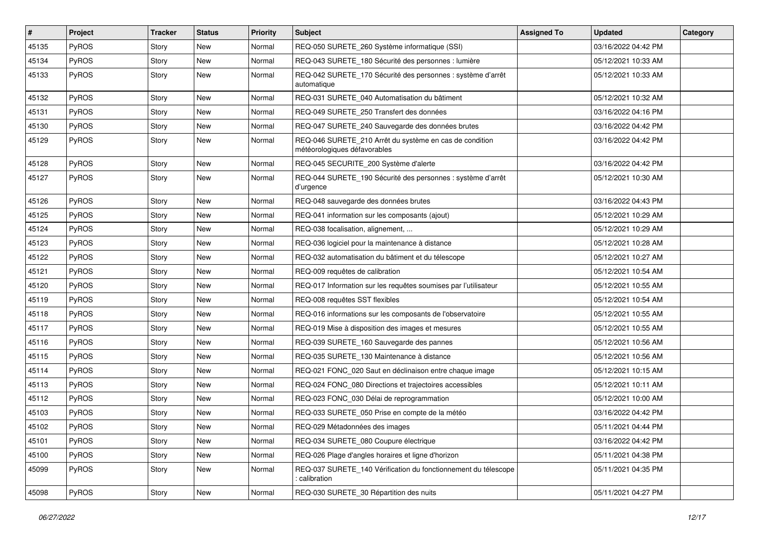| $\vert$ # | Project      | <b>Tracker</b> | <b>Status</b> | <b>Priority</b> | <b>Subject</b>                                                                          | <b>Assigned To</b> | <b>Updated</b>      | Category |
|-----------|--------------|----------------|---------------|-----------------|-----------------------------------------------------------------------------------------|--------------------|---------------------|----------|
| 45135     | PyROS        | Story          | New           | Normal          | REQ-050 SURETE_260 Système informatique (SSI)                                           |                    | 03/16/2022 04:42 PM |          |
| 45134     | PyROS        | Story          | New           | Normal          | REQ-043 SURETE_180 Sécurité des personnes : lumière                                     |                    | 05/12/2021 10:33 AM |          |
| 45133     | PyROS        | Story          | New           | Normal          | REQ-042 SURETE_170 Sécurité des personnes : système d'arrêt<br>automatique              |                    | 05/12/2021 10:33 AM |          |
| 45132     | PyROS        | Story          | <b>New</b>    | Normal          | REQ-031 SURETE_040 Automatisation du bâtiment                                           |                    | 05/12/2021 10:32 AM |          |
| 45131     | PyROS        | Story          | New           | Normal          | REQ-049 SURETE 250 Transfert des données                                                |                    | 03/16/2022 04:16 PM |          |
| 45130     | PyROS        | Story          | <b>New</b>    | Normal          | REQ-047 SURETE_240 Sauvegarde des données brutes                                        |                    | 03/16/2022 04:42 PM |          |
| 45129     | PyROS        | Story          | New           | Normal          | REQ-046 SURETE_210 Arrêt du système en cas de condition<br>météorologiques défavorables |                    | 03/16/2022 04:42 PM |          |
| 45128     | PyROS        | Story          | New           | Normal          | REQ-045 SECURITE_200 Système d'alerte                                                   |                    | 03/16/2022 04:42 PM |          |
| 45127     | <b>PyROS</b> | Story          | New           | Normal          | REQ-044 SURETE_190 Sécurité des personnes : système d'arrêt<br>d'urgence                |                    | 05/12/2021 10:30 AM |          |
| 45126     | PyROS        | Story          | <b>New</b>    | Normal          | REQ-048 sauvegarde des données brutes                                                   |                    | 03/16/2022 04:43 PM |          |
| 45125     | <b>PyROS</b> | Story          | New           | Normal          | REQ-041 information sur les composants (ajout)                                          |                    | 05/12/2021 10:29 AM |          |
| 45124     | PyROS        | Story          | <b>New</b>    | Normal          | REQ-038 focalisation, alignement,                                                       |                    | 05/12/2021 10:29 AM |          |
| 45123     | PyROS        | Story          | New           | Normal          | REQ-036 logiciel pour la maintenance à distance                                         |                    | 05/12/2021 10:28 AM |          |
| 45122     | PyROS        | Story          | <b>New</b>    | Normal          | REQ-032 automatisation du bâtiment et du télescope                                      |                    | 05/12/2021 10:27 AM |          |
| 45121     | PyROS        | Story          | New           | Normal          | REQ-009 requêtes de calibration                                                         |                    | 05/12/2021 10:54 AM |          |
| 45120     | PyROS        | Story          | New           | Normal          | REQ-017 Information sur les requêtes soumises par l'utilisateur                         |                    | 05/12/2021 10:55 AM |          |
| 45119     | PyROS        | Story          | <b>New</b>    | Normal          | REQ-008 requêtes SST flexibles                                                          |                    | 05/12/2021 10:54 AM |          |
| 45118     | PyROS        | Story          | <b>New</b>    | Normal          | REQ-016 informations sur les composants de l'observatoire                               |                    | 05/12/2021 10:55 AM |          |
| 45117     | PyROS        | Story          | New           | Normal          | REQ-019 Mise à disposition des images et mesures                                        |                    | 05/12/2021 10:55 AM |          |
| 45116     | PyROS        | Story          | <b>New</b>    | Normal          | REQ-039 SURETE_160 Sauvegarde des pannes                                                |                    | 05/12/2021 10:56 AM |          |
| 45115     | <b>PyROS</b> | Story          | <b>New</b>    | Normal          | REQ-035 SURETE_130 Maintenance à distance                                               |                    | 05/12/2021 10:56 AM |          |
| 45114     | PyROS        | Story          | <b>New</b>    | Normal          | REQ-021 FONC_020 Saut en déclinaison entre chaque image                                 |                    | 05/12/2021 10:15 AM |          |
| 45113     | PyROS        | Story          | New           | Normal          | REQ-024 FONC_080 Directions et trajectoires accessibles                                 |                    | 05/12/2021 10:11 AM |          |
| 45112     | PyROS        | Story          | New           | Normal          | REQ-023 FONC 030 Délai de reprogrammation                                               |                    | 05/12/2021 10:00 AM |          |
| 45103     | PyROS        | Story          | <b>New</b>    | Normal          | REQ-033 SURETE_050 Prise en compte de la météo                                          |                    | 03/16/2022 04:42 PM |          |
| 45102     | PyROS        | Story          | New           | Normal          | REQ-029 Métadonnées des images                                                          |                    | 05/11/2021 04:44 PM |          |
| 45101     | PyROS        | Story          | New           | Normal          | REQ-034 SURETE_080 Coupure électrique                                                   |                    | 03/16/2022 04:42 PM |          |
| 45100     | PyROS        | Story          | New           | Normal          | REQ-026 Plage d'angles horaires et ligne d'horizon                                      |                    | 05/11/2021 04:38 PM |          |
| 45099     | PyROS        | Story          | New           | Normal          | REQ-037 SURETE 140 Vérification du fonctionnement du télescope<br>calibration           |                    | 05/11/2021 04:35 PM |          |
| 45098     | PyROS        | Story          | New           | Normal          | REQ-030 SURETE_30 Répartition des nuits                                                 |                    | 05/11/2021 04:27 PM |          |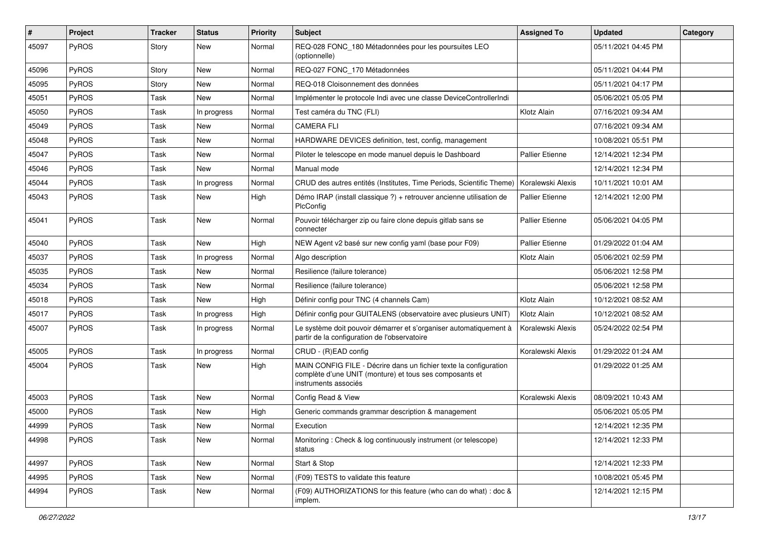| ∦     | Project      | <b>Tracker</b> | <b>Status</b> | <b>Priority</b> | <b>Subject</b>                                                                                                                                       | <b>Assigned To</b>     | <b>Updated</b>      | Category |
|-------|--------------|----------------|---------------|-----------------|------------------------------------------------------------------------------------------------------------------------------------------------------|------------------------|---------------------|----------|
| 45097 | PyROS        | Story          | New           | Normal          | REQ-028 FONC_180 Métadonnées pour les poursuites LEO<br>(optionnelle)                                                                                |                        | 05/11/2021 04:45 PM |          |
| 45096 | PyROS        | Story          | <b>New</b>    | Normal          | REQ-027 FONC_170 Métadonnées                                                                                                                         |                        | 05/11/2021 04:44 PM |          |
| 45095 | PyROS        | Story          | New           | Normal          | REQ-018 Cloisonnement des données                                                                                                                    |                        | 05/11/2021 04:17 PM |          |
| 45051 | PyROS        | Task           | <b>New</b>    | Normal          | Implémenter le protocole Indi avec une classe DeviceControllerIndi                                                                                   |                        | 05/06/2021 05:05 PM |          |
| 45050 | <b>PyROS</b> | Task           | In progress   | Normal          | Test caméra du TNC (FLI)                                                                                                                             | Klotz Alain            | 07/16/2021 09:34 AM |          |
| 45049 | PyROS        | Task           | New           | Normal          | <b>CAMERA FLI</b>                                                                                                                                    |                        | 07/16/2021 09:34 AM |          |
| 45048 | PyROS        | Task           | New           | Normal          | HARDWARE DEVICES definition, test, config, management                                                                                                |                        | 10/08/2021 05:51 PM |          |
| 45047 | PyROS        | Task           | New           | Normal          | Piloter le telescope en mode manuel depuis le Dashboard                                                                                              | <b>Pallier Etienne</b> | 12/14/2021 12:34 PM |          |
| 45046 | PyROS        | Task           | New           | Normal          | Manual mode                                                                                                                                          |                        | 12/14/2021 12:34 PM |          |
| 45044 | <b>PyROS</b> | Task           | In progress   | Normal          | CRUD des autres entités (Institutes, Time Periods, Scientific Theme)                                                                                 | Koralewski Alexis      | 10/11/2021 10:01 AM |          |
| 45043 | PyROS        | Task           | <b>New</b>    | High            | Démo IRAP (install classique ?) + retrouver ancienne utilisation de<br>PlcConfig                                                                     | Pallier Etienne        | 12/14/2021 12:00 PM |          |
| 45041 | PyROS        | Task           | New           | Normal          | Pouvoir télécharger zip ou faire clone depuis gitlab sans se<br>connecter                                                                            | <b>Pallier Etienne</b> | 05/06/2021 04:05 PM |          |
| 45040 | PyROS        | Task           | <b>New</b>    | High            | NEW Agent v2 basé sur new config yaml (base pour F09)                                                                                                | <b>Pallier Etienne</b> | 01/29/2022 01:04 AM |          |
| 45037 | PyROS        | Task           | In progress   | Normal          | Algo description                                                                                                                                     | Klotz Alain            | 05/06/2021 02:59 PM |          |
| 45035 | PyROS        | Task           | <b>New</b>    | Normal          | Resilience (failure tolerance)                                                                                                                       |                        | 05/06/2021 12:58 PM |          |
| 45034 | <b>PyROS</b> | Task           | New           | Normal          | Resilience (failure tolerance)                                                                                                                       |                        | 05/06/2021 12:58 PM |          |
| 45018 | PyROS        | Task           | New           | High            | Définir config pour TNC (4 channels Cam)                                                                                                             | Klotz Alain            | 10/12/2021 08:52 AM |          |
| 45017 | PyROS        | Task           | In progress   | High            | Définir config pour GUITALENS (observatoire avec plusieurs UNIT)                                                                                     | Klotz Alain            | 10/12/2021 08:52 AM |          |
| 45007 | PyROS        | Task           | In progress   | Normal          | Le système doit pouvoir démarrer et s'organiser automatiquement à<br>partir de la configuration de l'observatoire                                    | Koralewski Alexis      | 05/24/2022 02:54 PM |          |
| 45005 | PyROS        | Task           | In progress   | Normal          | CRUD - (R)EAD config                                                                                                                                 | Koralewski Alexis      | 01/29/2022 01:24 AM |          |
| 45004 | PyROS        | Task           | New           | High            | MAIN CONFIG FILE - Décrire dans un fichier texte la configuration<br>complète d'une UNIT (monture) et tous ses composants et<br>instruments associés |                        | 01/29/2022 01:25 AM |          |
| 45003 | PyROS        | Task           | New           | Normal          | Config Read & View                                                                                                                                   | Koralewski Alexis      | 08/09/2021 10:43 AM |          |
| 45000 | PyROS        | Task           | New           | High            | Generic commands grammar description & management                                                                                                    |                        | 05/06/2021 05:05 PM |          |
| 44999 | PyROS        | Task           | New           | Normal          | Execution                                                                                                                                            |                        | 12/14/2021 12:35 PM |          |
| 44998 | PyROS        | Task           | New           | Normal          | Monitoring: Check & log continuously instrument (or telescope)<br>status                                                                             |                        | 12/14/2021 12:33 PM |          |
| 44997 | PyROS        | Task           | New           | Normal          | Start & Stop                                                                                                                                         |                        | 12/14/2021 12:33 PM |          |
| 44995 | PyROS        | Task           | New           | Normal          | (F09) TESTS to validate this feature                                                                                                                 |                        | 10/08/2021 05:45 PM |          |
| 44994 | PyROS        | Task           | New           | Normal          | (F09) AUTHORIZATIONS for this feature (who can do what) : doc &<br>implem.                                                                           |                        | 12/14/2021 12:15 PM |          |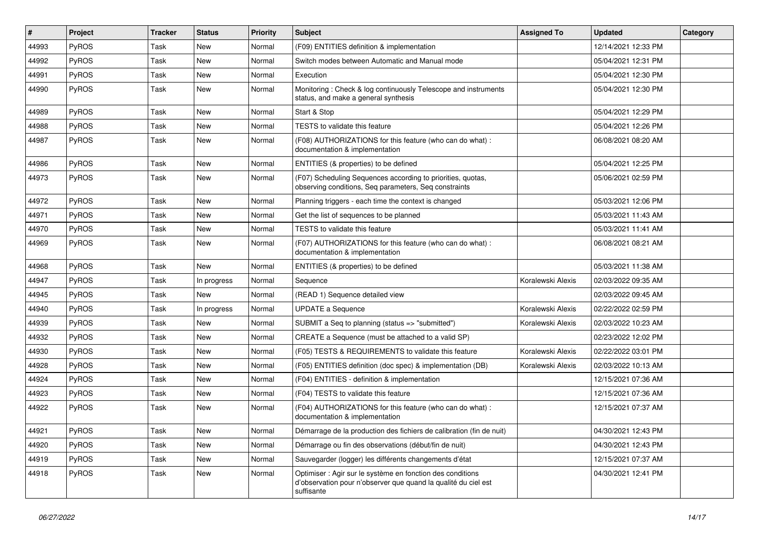| #     | Project      | <b>Tracker</b> | <b>Status</b> | <b>Priority</b> | <b>Subject</b>                                                                                                                             | <b>Assigned To</b> | <b>Updated</b>      | Category |
|-------|--------------|----------------|---------------|-----------------|--------------------------------------------------------------------------------------------------------------------------------------------|--------------------|---------------------|----------|
| 44993 | <b>PyROS</b> | Task           | <b>New</b>    | Normal          | (F09) ENTITIES definition & implementation                                                                                                 |                    | 12/14/2021 12:33 PM |          |
| 44992 | PyROS        | Task           | New           | Normal          | Switch modes between Automatic and Manual mode                                                                                             |                    | 05/04/2021 12:31 PM |          |
| 44991 | <b>PyROS</b> | Task           | New           | Normal          | Execution                                                                                                                                  |                    | 05/04/2021 12:30 PM |          |
| 44990 | <b>PyROS</b> | Task           | New           | Normal          | Monitoring: Check & log continuously Telescope and instruments<br>status, and make a general synthesis                                     |                    | 05/04/2021 12:30 PM |          |
| 44989 | PyROS        | Task           | New           | Normal          | Start & Stop                                                                                                                               |                    | 05/04/2021 12:29 PM |          |
| 44988 | PyROS        | Task           | New           | Normal          | TESTS to validate this feature                                                                                                             |                    | 05/04/2021 12:26 PM |          |
| 44987 | <b>PyROS</b> | Task           | New           | Normal          | (F08) AUTHORIZATIONS for this feature (who can do what) :<br>documentation & implementation                                                |                    | 06/08/2021 08:20 AM |          |
| 44986 | PyROS        | Task           | New           | Normal          | ENTITIES (& properties) to be defined                                                                                                      |                    | 05/04/2021 12:25 PM |          |
| 44973 | <b>PyROS</b> | Task           | <b>New</b>    | Normal          | (F07) Scheduling Sequences according to priorities, quotas,<br>observing conditions, Seq parameters, Seq constraints                       |                    | 05/06/2021 02:59 PM |          |
| 44972 | <b>PyROS</b> | Task           | <b>New</b>    | Normal          | Planning triggers - each time the context is changed                                                                                       |                    | 05/03/2021 12:06 PM |          |
| 44971 | <b>PyROS</b> | Task           | New           | Normal          | Get the list of sequences to be planned                                                                                                    |                    | 05/03/2021 11:43 AM |          |
| 44970 | PyROS        | Task           | <b>New</b>    | Normal          | TESTS to validate this feature                                                                                                             |                    | 05/03/2021 11:41 AM |          |
| 44969 | <b>PyROS</b> | Task           | New           | Normal          | (F07) AUTHORIZATIONS for this feature (who can do what) :<br>documentation & implementation                                                |                    | 06/08/2021 08:21 AM |          |
| 44968 | PyROS        | Task           | New           | Normal          | ENTITIES (& properties) to be defined                                                                                                      |                    | 05/03/2021 11:38 AM |          |
| 44947 | <b>PyROS</b> | Task           | In progress   | Normal          | Sequence                                                                                                                                   | Koralewski Alexis  | 02/03/2022 09:35 AM |          |
| 44945 | <b>PyROS</b> | Task           | New           | Normal          | (READ 1) Sequence detailed view                                                                                                            |                    | 02/03/2022 09:45 AM |          |
| 44940 | <b>PyROS</b> | Task           | In progress   | Normal          | <b>UPDATE a Sequence</b>                                                                                                                   | Koralewski Alexis  | 02/22/2022 02:59 PM |          |
| 44939 | PyROS        | Task           | New           | Normal          | SUBMIT a Seq to planning (status => "submitted")                                                                                           | Koralewski Alexis  | 02/03/2022 10:23 AM |          |
| 44932 | PyROS        | Task           | New           | Normal          | CREATE a Sequence (must be attached to a valid SP)                                                                                         |                    | 02/23/2022 12:02 PM |          |
| 44930 | <b>PyROS</b> | Task           | New           | Normal          | (F05) TESTS & REQUIREMENTS to validate this feature                                                                                        | Koralewski Alexis  | 02/22/2022 03:01 PM |          |
| 44928 | <b>PyROS</b> | Task           | New           | Normal          | (F05) ENTITIES definition (doc spec) & implementation (DB)                                                                                 | Koralewski Alexis  | 02/03/2022 10:13 AM |          |
| 44924 | <b>PyROS</b> | Task           | <b>New</b>    | Normal          | (F04) ENTITIES - definition & implementation                                                                                               |                    | 12/15/2021 07:36 AM |          |
| 44923 | PyROS        | Task           | New           | Normal          | (F04) TESTS to validate this feature                                                                                                       |                    | 12/15/2021 07:36 AM |          |
| 44922 | <b>PyROS</b> | Task           | New           | Normal          | (F04) AUTHORIZATIONS for this feature (who can do what) :<br>documentation & implementation                                                |                    | 12/15/2021 07:37 AM |          |
| 44921 | PyROS        | Task           | New           | Normal          | Démarrage de la production des fichiers de calibration (fin de nuit)                                                                       |                    | 04/30/2021 12:43 PM |          |
| 44920 | PyROS        | Task           | New           | Normal          | Démarrage ou fin des observations (début/fin de nuit)                                                                                      |                    | 04/30/2021 12:43 PM |          |
| 44919 | PyROS        | Task           | New           | Normal          | Sauvegarder (logger) les différents changements d'état                                                                                     |                    | 12/15/2021 07:37 AM |          |
| 44918 | PyROS        | Task           | New           | Normal          | Optimiser : Agir sur le système en fonction des conditions<br>d'observation pour n'observer que quand la qualité du ciel est<br>suffisante |                    | 04/30/2021 12:41 PM |          |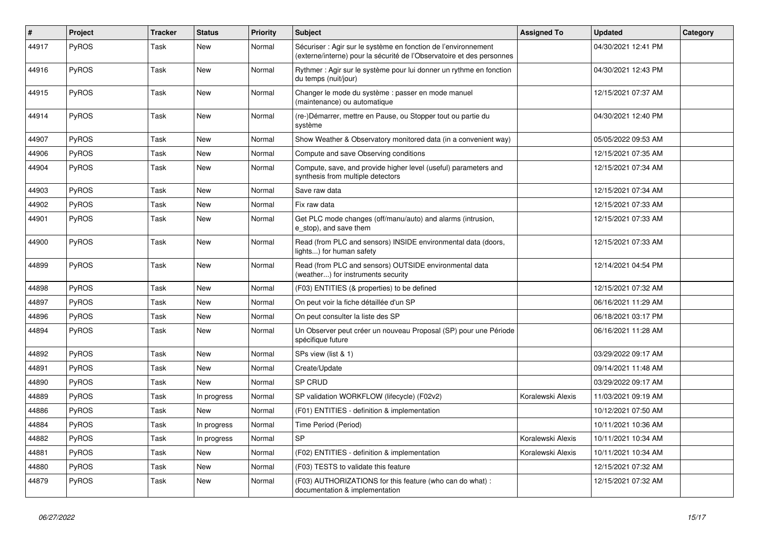| #     | Project      | <b>Tracker</b> | <b>Status</b> | <b>Priority</b> | <b>Subject</b>                                                                                                                          | <b>Assigned To</b> | <b>Updated</b>      | Category |
|-------|--------------|----------------|---------------|-----------------|-----------------------------------------------------------------------------------------------------------------------------------------|--------------------|---------------------|----------|
| 44917 | PyROS        | Task           | New           | Normal          | Sécuriser : Agir sur le système en fonction de l'environnement<br>(externe/interne) pour la sécurité de l'Observatoire et des personnes |                    | 04/30/2021 12:41 PM |          |
| 44916 | <b>PyROS</b> | Task           | <b>New</b>    | Normal          | Rythmer: Agir sur le système pour lui donner un rythme en fonction<br>du temps (nuit/jour)                                              |                    | 04/30/2021 12:43 PM |          |
| 44915 | <b>PyROS</b> | Task           | <b>New</b>    | Normal          | Changer le mode du système : passer en mode manuel<br>(maintenance) ou automatique                                                      |                    | 12/15/2021 07:37 AM |          |
| 44914 | <b>PyROS</b> | Task           | <b>New</b>    | Normal          | (re-)Démarrer, mettre en Pause, ou Stopper tout ou partie du<br>svstème                                                                 |                    | 04/30/2021 12:40 PM |          |
| 44907 | PyROS        | Task           | <b>New</b>    | Normal          | Show Weather & Observatory monitored data (in a convenient way)                                                                         |                    | 05/05/2022 09:53 AM |          |
| 44906 | <b>PyROS</b> | Task           | <b>New</b>    | Normal          | Compute and save Observing conditions                                                                                                   |                    | 12/15/2021 07:35 AM |          |
| 44904 | <b>PyROS</b> | Task           | <b>New</b>    | Normal          | Compute, save, and provide higher level (useful) parameters and<br>synthesis from multiple detectors                                    |                    | 12/15/2021 07:34 AM |          |
| 44903 | <b>PyROS</b> | Task           | <b>New</b>    | Normal          | Save raw data                                                                                                                           |                    | 12/15/2021 07:34 AM |          |
| 44902 | <b>PyROS</b> | Task           | <b>New</b>    | Normal          | Fix raw data                                                                                                                            |                    | 12/15/2021 07:33 AM |          |
| 44901 | <b>PyROS</b> | Task           | New           | Normal          | Get PLC mode changes (off/manu/auto) and alarms (intrusion,<br>e_stop), and save them                                                   |                    | 12/15/2021 07:33 AM |          |
| 44900 | PyROS        | Task           | <b>New</b>    | Normal          | Read (from PLC and sensors) INSIDE environmental data (doors,<br>lights) for human safety                                               |                    | 12/15/2021 07:33 AM |          |
| 44899 | <b>PyROS</b> | Task           | <b>New</b>    | Normal          | Read (from PLC and sensors) OUTSIDE environmental data<br>(weather) for instruments security                                            |                    | 12/14/2021 04:54 PM |          |
| 44898 | <b>PyROS</b> | Task           | <b>New</b>    | Normal          | (F03) ENTITIES (& properties) to be defined                                                                                             |                    | 12/15/2021 07:32 AM |          |
| 44897 | <b>PyROS</b> | Task           | <b>New</b>    | Normal          | On peut voir la fiche détaillée d'un SP                                                                                                 |                    | 06/16/2021 11:29 AM |          |
| 44896 | PyROS        | Task           | <b>New</b>    | Normal          | On peut consulter la liste des SP                                                                                                       |                    | 06/18/2021 03:17 PM |          |
| 44894 | <b>PyROS</b> | Task           | New           | Normal          | Un Observer peut créer un nouveau Proposal (SP) pour une Période<br>spécifique future                                                   |                    | 06/16/2021 11:28 AM |          |
| 44892 | PyROS        | Task           | <b>New</b>    | Normal          | SPs view (list & 1)                                                                                                                     |                    | 03/29/2022 09:17 AM |          |
| 44891 | <b>PyROS</b> | Task           | <b>New</b>    | Normal          | Create/Update                                                                                                                           |                    | 09/14/2021 11:48 AM |          |
| 44890 | PyROS        | Task           | <b>New</b>    | Normal          | SP CRUD                                                                                                                                 |                    | 03/29/2022 09:17 AM |          |
| 44889 | PyROS        | Task           | In progress   | Normal          | SP validation WORKFLOW (lifecycle) (F02v2)                                                                                              | Koralewski Alexis  | 11/03/2021 09:19 AM |          |
| 44886 | PyROS        | Task           | New           | Normal          | (F01) ENTITIES - definition & implementation                                                                                            |                    | 10/12/2021 07:50 AM |          |
| 44884 | <b>PyROS</b> | Task           | In progress   | Normal          | Time Period (Period)                                                                                                                    |                    | 10/11/2021 10:36 AM |          |
| 44882 | PyROS        | Task           | In progress   | Normal          | <b>SP</b>                                                                                                                               | Koralewski Alexis  | 10/11/2021 10:34 AM |          |
| 44881 | PyROS        | Task           | <b>New</b>    | Normal          | (F02) ENTITIES - definition & implementation                                                                                            | Koralewski Alexis  | 10/11/2021 10:34 AM |          |
| 44880 | PyROS        | Task           | <b>New</b>    | Normal          | (F03) TESTS to validate this feature                                                                                                    |                    | 12/15/2021 07:32 AM |          |
| 44879 | <b>PyROS</b> | Task           | <b>New</b>    | Normal          | (F03) AUTHORIZATIONS for this feature (who can do what) :<br>documentation & implementation                                             |                    | 12/15/2021 07:32 AM |          |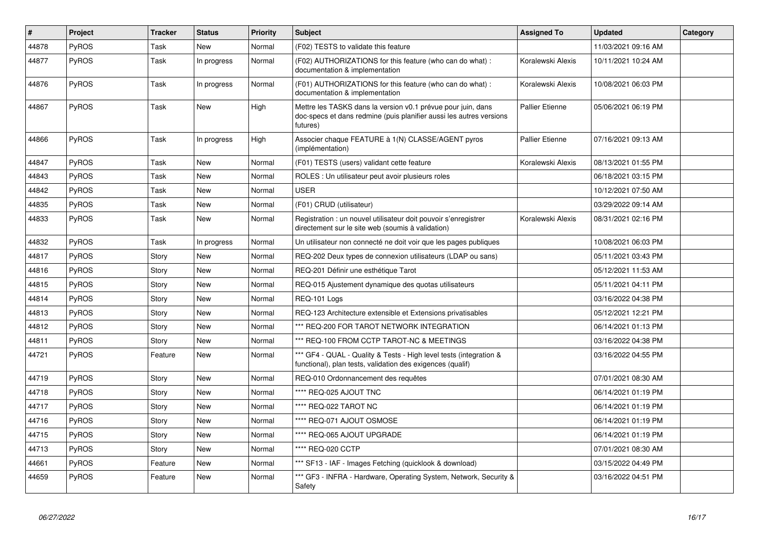| $\#$  | <b>Project</b> | <b>Tracker</b> | <b>Status</b> | <b>Priority</b> | <b>Subject</b>                                                                                                                                  | <b>Assigned To</b>     | <b>Updated</b>      | Category |
|-------|----------------|----------------|---------------|-----------------|-------------------------------------------------------------------------------------------------------------------------------------------------|------------------------|---------------------|----------|
| 44878 | <b>PyROS</b>   | Task           | New           | Normal          | (F02) TESTS to validate this feature                                                                                                            |                        | 11/03/2021 09:16 AM |          |
| 44877 | <b>PyROS</b>   | Task           | In progress   | Normal          | (F02) AUTHORIZATIONS for this feature (who can do what):<br>documentation & implementation                                                      | Koralewski Alexis      | 10/11/2021 10:24 AM |          |
| 44876 | PyROS          | Task           | In progress   | Normal          | (F01) AUTHORIZATIONS for this feature (who can do what) :<br>documentation & implementation                                                     | Koralewski Alexis      | 10/08/2021 06:03 PM |          |
| 44867 | <b>PyROS</b>   | Task           | <b>New</b>    | High            | Mettre les TASKS dans la version v0.1 prévue pour juin, dans<br>doc-specs et dans redmine (puis planifier aussi les autres versions<br>futures) | <b>Pallier Etienne</b> | 05/06/2021 06:19 PM |          |
| 44866 | <b>PyROS</b>   | Task           | In progress   | High            | Associer chaque FEATURE à 1(N) CLASSE/AGENT pyros<br>(implémentation)                                                                           | <b>Pallier Etienne</b> | 07/16/2021 09:13 AM |          |
| 44847 | PyROS          | Task           | <b>New</b>    | Normal          | (F01) TESTS (users) validant cette feature                                                                                                      | Koralewski Alexis      | 08/13/2021 01:55 PM |          |
| 44843 | <b>PyROS</b>   | Task           | <b>New</b>    | Normal          | ROLES : Un utilisateur peut avoir plusieurs roles                                                                                               |                        | 06/18/2021 03:15 PM |          |
| 44842 | PyROS          | Task           | <b>New</b>    | Normal          | <b>USER</b>                                                                                                                                     |                        | 10/12/2021 07:50 AM |          |
| 44835 | <b>PyROS</b>   | Task           | <b>New</b>    | Normal          | (F01) CRUD (utilisateur)                                                                                                                        |                        | 03/29/2022 09:14 AM |          |
| 44833 | PyROS          | Task           | <b>New</b>    | Normal          | Registration : un nouvel utilisateur doit pouvoir s'enregistrer<br>directement sur le site web (soumis à validation)                            | Koralewski Alexis      | 08/31/2021 02:16 PM |          |
| 44832 | PyROS          | Task           | In progress   | Normal          | Un utilisateur non connecté ne doit voir que les pages publiques                                                                                |                        | 10/08/2021 06:03 PM |          |
| 44817 | PyROS          | Story          | <b>New</b>    | Normal          | REQ-202 Deux types de connexion utilisateurs (LDAP ou sans)                                                                                     |                        | 05/11/2021 03:43 PM |          |
| 44816 | <b>PyROS</b>   | Story          | <b>New</b>    | Normal          | REQ-201 Définir une esthétique Tarot                                                                                                            |                        | 05/12/2021 11:53 AM |          |
| 44815 | <b>PyROS</b>   | Story          | <b>New</b>    | Normal          | REQ-015 Ajustement dynamique des quotas utilisateurs                                                                                            |                        | 05/11/2021 04:11 PM |          |
| 44814 | <b>PyROS</b>   | Story          | New           | Normal          | REQ-101 Logs                                                                                                                                    |                        | 03/16/2022 04:38 PM |          |
| 44813 | <b>PyROS</b>   | Story          | <b>New</b>    | Normal          | REQ-123 Architecture extensible et Extensions privatisables                                                                                     |                        | 05/12/2021 12:21 PM |          |
| 44812 | <b>PyROS</b>   | Story          | <b>New</b>    | Normal          | *** REQ-200 FOR TAROT NETWORK INTEGRATION                                                                                                       |                        | 06/14/2021 01:13 PM |          |
| 44811 | PyROS          | Story          | <b>New</b>    | Normal          | *** REQ-100 FROM CCTP TAROT-NC & MEETINGS                                                                                                       |                        | 03/16/2022 04:38 PM |          |
| 44721 | PyROS          | Feature        | New           | Normal          | *** GF4 - QUAL - Quality & Tests - High level tests (integration &<br>functional), plan tests, validation des exigences (qualif)                |                        | 03/16/2022 04:55 PM |          |
| 44719 | <b>PyROS</b>   | Story          | <b>New</b>    | Normal          | REQ-010 Ordonnancement des requêtes                                                                                                             |                        | 07/01/2021 08:30 AM |          |
| 44718 | <b>PyROS</b>   | Story          | New           | Normal          | **** REQ-025 AJOUT TNC                                                                                                                          |                        | 06/14/2021 01:19 PM |          |
| 44717 | <b>PyROS</b>   | Story          | <b>New</b>    | Normal          | **** REQ-022 TAROT NC                                                                                                                           |                        | 06/14/2021 01:19 PM |          |
| 44716 | PyROS          | Story          | <b>New</b>    | Normal          | **** REQ-071 AJOUT OSMOSE                                                                                                                       |                        | 06/14/2021 01:19 PM |          |
| 44715 | <b>PyROS</b>   | Story          | <b>New</b>    | Normal          | **** REQ-065 AJOUT UPGRADE                                                                                                                      |                        | 06/14/2021 01:19 PM |          |
| 44713 | PyROS          | Story          | <b>New</b>    | Normal          | **** REQ-020 CCTP                                                                                                                               |                        | 07/01/2021 08:30 AM |          |
| 44661 | PyROS          | Feature        | New           | Normal          | *** SF13 - IAF - Images Fetching (quicklook & download)                                                                                         |                        | 03/15/2022 04:49 PM |          |
| 44659 | <b>PyROS</b>   | Feature        | New           | Normal          | ** GF3 - INFRA - Hardware, Operating System, Network, Security &<br>Safety                                                                      |                        | 03/16/2022 04:51 PM |          |